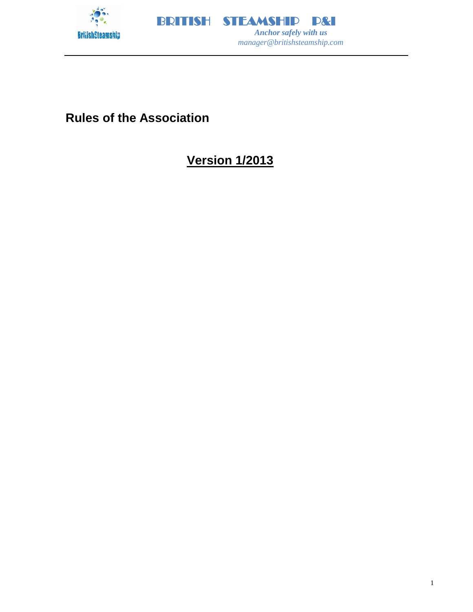



# **Rules of the Association**

# **Version 1/2013**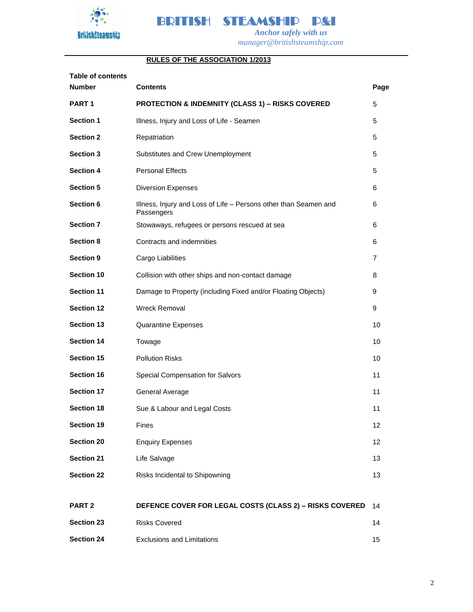



## **RULES OF THE ASSOCIATION 1/2013**

| <b>Table of contents</b> |                                                                                |      |
|--------------------------|--------------------------------------------------------------------------------|------|
| <b>Number</b>            | <b>Contents</b>                                                                | Page |
| PART <sub>1</sub>        | <b>PROTECTION &amp; INDEMNITY (CLASS 1) - RISKS COVERED</b>                    | 5    |
| <b>Section 1</b>         | Illness, Injury and Loss of Life - Seamen                                      | 5    |
| <b>Section 2</b>         | Repatriation                                                                   | 5    |
| <b>Section 3</b>         | Substitutes and Crew Unemployment                                              | 5    |
| <b>Section 4</b>         | <b>Personal Effects</b>                                                        | 5    |
| <b>Section 5</b>         | <b>Diversion Expenses</b>                                                      | 6    |
| Section 6                | Illness, Injury and Loss of Life - Persons other than Seamen and<br>Passengers | 6    |
| <b>Section 7</b>         | Stowaways, refugees or persons rescued at sea                                  | 6    |
| <b>Section 8</b>         | Contracts and indemnities                                                      | 6    |
| <b>Section 9</b>         | Cargo Liabilities                                                              | 7    |
| Section 10               | Collision with other ships and non-contact damage                              | 8    |
| <b>Section 11</b>        | Damage to Property (including Fixed and/or Floating Objects)                   | 9    |
| <b>Section 12</b>        | <b>Wreck Removal</b>                                                           | 9    |
| Section 13               | <b>Quarantine Expenses</b>                                                     | 10   |
| <b>Section 14</b>        | Towage                                                                         | 10   |
| Section 15               | <b>Pollution Risks</b>                                                         | 10   |
| <b>Section 16</b>        | Special Compensation for Salvors                                               | 11   |
| <b>Section 17</b>        | General Average                                                                | 11   |
| <b>Section 18</b>        | Sue & Labour and Legal Costs                                                   | 11   |
| Section 19               | Fines                                                                          | 12   |
| <b>Section 20</b>        | <b>Enquiry Expenses</b>                                                        | 12   |
| <b>Section 21</b>        | Life Salvage                                                                   | 13   |
| <b>Section 22</b>        | Risks Incidental to Shipowning                                                 | 13   |
| PART <sub>2</sub>        | DEFENCE COVER FOR LEGAL COSTS (CLASS 2) - RISKS COVERED                        | 14   |
| <b>Section 23</b>        | <b>Risks Covered</b>                                                           | 14   |
| <b>Section 24</b>        | <b>Exclusions and Limitations</b>                                              | 15   |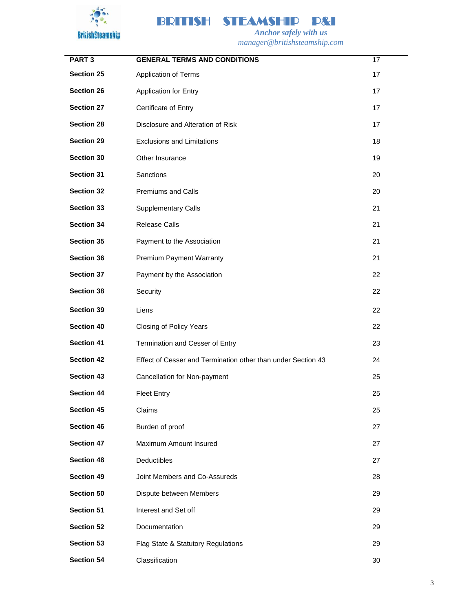



 *Anchor safely with us manager@britishsteamship.com* 

| PART <sub>3</sub> | <b>GENERAL TERMS AND CONDITIONS</b>                          | 17 |
|-------------------|--------------------------------------------------------------|----|
| <b>Section 25</b> | Application of Terms                                         | 17 |
| <b>Section 26</b> | <b>Application for Entry</b>                                 | 17 |
| <b>Section 27</b> | Certificate of Entry                                         | 17 |
| <b>Section 28</b> | Disclosure and Alteration of Risk                            | 17 |
| <b>Section 29</b> | <b>Exclusions and Limitations</b>                            | 18 |
| <b>Section 30</b> | Other Insurance                                              | 19 |
| <b>Section 31</b> | Sanctions                                                    | 20 |
| <b>Section 32</b> | <b>Premiums and Calls</b>                                    | 20 |
| <b>Section 33</b> | <b>Supplementary Calls</b>                                   | 21 |
| <b>Section 34</b> | <b>Release Calls</b>                                         | 21 |
| <b>Section 35</b> | Payment to the Association                                   | 21 |
| <b>Section 36</b> | Premium Payment Warranty                                     | 21 |
| <b>Section 37</b> | Payment by the Association                                   | 22 |
| <b>Section 38</b> | Security                                                     | 22 |
| Section 39        | Liens                                                        | 22 |
| <b>Section 40</b> | Closing of Policy Years                                      | 22 |
| <b>Section 41</b> | Termination and Cesser of Entry                              | 23 |
| <b>Section 42</b> | Effect of Cesser and Termination other than under Section 43 | 24 |
| <b>Section 43</b> | Cancellation for Non-payment                                 | 25 |
| <b>Section 44</b> | <b>Fleet Entry</b>                                           | 25 |
| Section 45        | Claims                                                       | 25 |
| <b>Section 46</b> | Burden of proof                                              | 27 |
| <b>Section 47</b> | Maximum Amount Insured                                       | 27 |
| <b>Section 48</b> | Deductibles                                                  | 27 |
| <b>Section 49</b> | Joint Members and Co-Assureds                                | 28 |
| Section 50        | Dispute between Members                                      | 29 |
| Section 51        | Interest and Set off                                         | 29 |
| <b>Section 52</b> | Documentation                                                | 29 |
| <b>Section 53</b> | Flag State & Statutory Regulations                           | 29 |
| Section 54        | Classification                                               | 30 |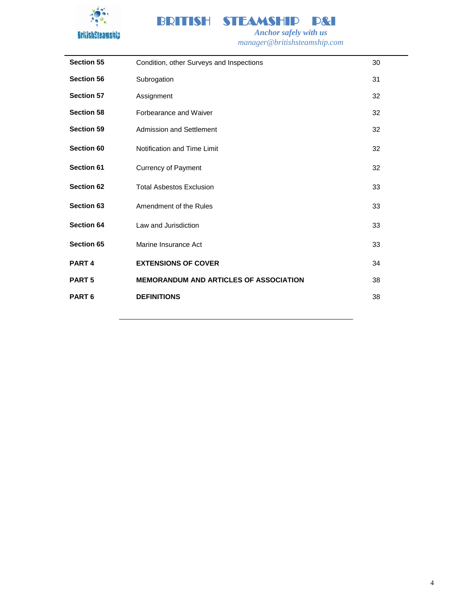



**Section 55** Condition, other Surveys and Inspections 30 **Section 56** Subrogation 31 **Section 57** Assignment 32 **Section 58 Forbearance and Waiver 32 Section 58 52 52 532 Section 59** Admission and Settlement **32** Admission and Settlement **32 Section 60** Notification and Time Limit **32 Section 60** 32 **Section 61** Currency of Payment 32 **Section 62** Total Asbestos Exclusion 33 **Section 63** Amendment of the Rules **33** Amendment of the Rules **33 Section 64** Law and Jurisdiction **33** Law and Section **33 Section 65** Marine Insurance Act 33 **PART 4 EXTENSIONS OF COVER 1 EXTENSIONS 24 PART 5 MEMORANDUM AND ARTICLES OF ASSOCIATION** 38 **PART 6 DEFINITIONS** 38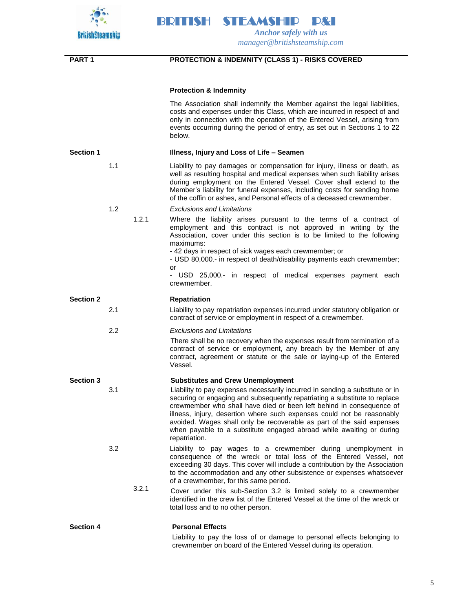

| <b>PART1</b>     |     |       | <b>PROTECTION &amp; INDEMNITY (CLASS 1) - RISKS COVERED</b>                                                                                                                                                                                                                                                                                                                                                                                                                    |
|------------------|-----|-------|--------------------------------------------------------------------------------------------------------------------------------------------------------------------------------------------------------------------------------------------------------------------------------------------------------------------------------------------------------------------------------------------------------------------------------------------------------------------------------|
|                  |     |       | <b>Protection &amp; Indemnity</b>                                                                                                                                                                                                                                                                                                                                                                                                                                              |
|                  |     |       | The Association shall indemnify the Member against the legal liabilities,<br>costs and expenses under this Class, which are incurred in respect of and<br>only in connection with the operation of the Entered Vessel, arising from<br>events occurring during the period of entry, as set out in Sections 1 to 22<br>below.                                                                                                                                                   |
| <b>Section 1</b> |     |       | Illness, Injury and Loss of Life - Seamen                                                                                                                                                                                                                                                                                                                                                                                                                                      |
|                  | 1.1 |       | Liability to pay damages or compensation for injury, illness or death, as<br>well as resulting hospital and medical expenses when such liability arises<br>during employment on the Entered Vessel. Cover shall extend to the<br>Member's liability for funeral expenses, including costs for sending home<br>of the coffin or ashes, and Personal effects of a deceased crewmember.                                                                                           |
|                  | 1.2 |       | <b>Exclusions and Limitations</b>                                                                                                                                                                                                                                                                                                                                                                                                                                              |
|                  |     | 1.2.1 | Where the liability arises pursuant to the terms of a contract of<br>employment and this contract is not approved in writing by the<br>Association, cover under this section is to be limited to the following<br>maximums:                                                                                                                                                                                                                                                    |
|                  |     |       | - 42 days in respect of sick wages each crewmember; or<br>- USD 80,000.- in respect of death/disability payments each crewmember;<br>or                                                                                                                                                                                                                                                                                                                                        |
|                  |     |       | - USD 25,000 .- in respect of medical expenses payment each<br>crewmember.                                                                                                                                                                                                                                                                                                                                                                                                     |
| <b>Section 2</b> |     |       | <b>Repatriation</b>                                                                                                                                                                                                                                                                                                                                                                                                                                                            |
|                  | 2.1 |       | Liability to pay repatriation expenses incurred under statutory obligation or<br>contract of service or employment in respect of a crewmember.                                                                                                                                                                                                                                                                                                                                 |
|                  | 2.2 |       | <b>Exclusions and Limitations</b>                                                                                                                                                                                                                                                                                                                                                                                                                                              |
|                  |     |       | There shall be no recovery when the expenses result from termination of a<br>contract of service or employment, any breach by the Member of any<br>contract, agreement or statute or the sale or laying-up of the Entered<br>Vessel.                                                                                                                                                                                                                                           |
| <b>Section 3</b> |     |       | <b>Substitutes and Crew Unemployment</b>                                                                                                                                                                                                                                                                                                                                                                                                                                       |
|                  | 3.1 |       | Liability to pay expenses necessarily incurred in sending a substitute or in<br>securing or engaging and subsequently repatriating a substitute to replace<br>crewmember who shall have died or been left behind in consequence of<br>illness, injury, desertion where such expenses could not be reasonably<br>avoided. Wages shall only be recoverable as part of the said expenses<br>when payable to a substitute engaged abroad while awaiting or during<br>repatriation. |
|                  | 3.2 |       | Liability to pay wages to a crewmember during unemployment in<br>consequence of the wreck or total loss of the Entered Vessel, not<br>exceeding 30 days. This cover will include a contribution by the Association<br>to the accommodation and any other subsistence or expenses whatsoever<br>of a crewmember, for this same period.                                                                                                                                          |
|                  |     | 3.2.1 | Cover under this sub-Section 3.2 is limited solely to a crewmember<br>identified in the crew list of the Entered Vessel at the time of the wreck or<br>total loss and to no other person.                                                                                                                                                                                                                                                                                      |
| <b>Section 4</b> |     |       | <b>Personal Effects</b>                                                                                                                                                                                                                                                                                                                                                                                                                                                        |
|                  |     |       | Liability to pay the loss of or damage to personal effects belonging to                                                                                                                                                                                                                                                                                                                                                                                                        |

crewmember on board of the Entered Vessel during its operation.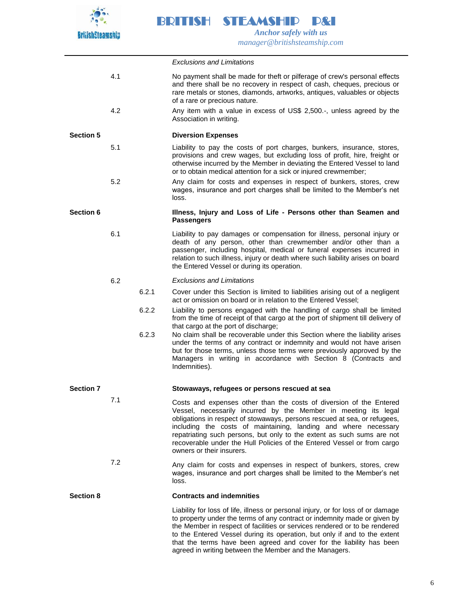

*Exclusions and Limitations* 4.1 No payment shall be made for theft or pilferage of crew's personal effects and there shall be no recovery in respect of cash, cheques, precious or rare metals or stones, diamonds, artworks, antiques, valuables or objects of a rare or precious nature. 4.2 Any item with a value in excess of US\$ 2,500.-, unless agreed by the Association in writing. **Section 5 Diversion Expenses** 5.1 Liability to pay the costs of port charges, bunkers, insurance, stores, provisions and crew wages, but excluding loss of profit, hire, freight or otherwise incurred by the Member in deviating the Entered Vessel to land or to obtain medical attention for a sick or injured crewmember; 5.2 Any claim for costs and expenses in respect of bunkers, stores, crew wages, insurance and port charges shall be limited to the Member's net loss. **Section 6 Illness, Injury and Loss of Life - Persons other than Seamen and Passengers** 6.1 Liability to pay damages or compensation for illness, personal injury or death of any person, other than crewmember and/or other than a passenger, including hospital, medical or funeral expenses incurred in relation to such illness, injury or death where such liability arises on board the Entered Vessel or during its operation. 6.2 *Exclusions and Limitations* 6.2.1 Cover under this Section is limited to liabilities arising out of a negligent act or omission on board or in relation to the Entered Vessel; 6.2.2 Liability to persons engaged with the handling of cargo shall be limited from the time of receipt of that cargo at the port of shipment till delivery of that cargo at the port of discharge; 6.2.3 No claim shall be recoverable under this Section where the liability arises under the terms of any contract or indemnity and would not have arisen but for those terms, unless those terms were previously approved by the Managers in writing in accordance with Section 8 (Contracts and Indemnities). **Section 7 Stowaways, refugees or persons rescued at sea** 7.1 Costs and expenses other than the costs of diversion of the Entered Vessel, necessarily incurred by the Member in meeting its legal obligations in respect of stowaways, persons rescued at sea, or refugees, including the costs of maintaining, landing and where necessary repatriating such persons, but only to the extent as such sums are not recoverable under the Hull Policies of the Entered Vessel or from cargo owners or their insurers. 7.2 Any claim for costs and expenses in respect of bunkers, stores, crew wages, insurance and port charges shall be limited to the Member's net loss. **Section 8 Contracts and indemnities** Liability for loss of life, illness or personal injury, or for loss of or damage to property under the terms of any contract or indemnity made or given by the Member in respect of facilities or services rendered or to be rendered to the Entered Vessel during its operation, but only if and to the extent that the terms have been agreed and cover for the liability has been agreed in writing between the Member and the Managers.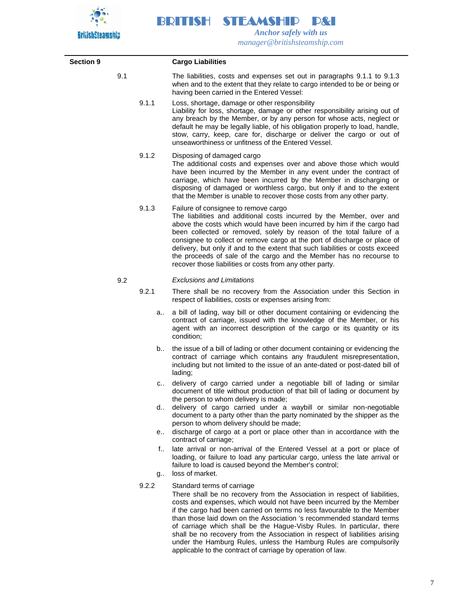

| <b>Section 9</b> |     |          | <b>Cargo Liabilities</b>                                                                                                                                                                                                                                                                                                                                                                                                                                                                                                                                          |
|------------------|-----|----------|-------------------------------------------------------------------------------------------------------------------------------------------------------------------------------------------------------------------------------------------------------------------------------------------------------------------------------------------------------------------------------------------------------------------------------------------------------------------------------------------------------------------------------------------------------------------|
|                  | 9.1 |          | The liabilities, costs and expenses set out in paragraphs 9.1.1 to 9.1.3<br>when and to the extent that they relate to cargo intended to be or being or<br>having been carried in the Entered Vessel:                                                                                                                                                                                                                                                                                                                                                             |
|                  |     | 9.1.1    | Loss, shortage, damage or other responsibility<br>Liability for loss, shortage, damage or other responsibility arising out of<br>any breach by the Member, or by any person for whose acts, neglect or<br>default he may be legally liable, of his obligation properly to load, handle,<br>stow, carry, keep, care for, discharge or deliver the cargo or out of<br>unseaworthiness or unfitness of the Entered Vessel.                                                                                                                                           |
|                  |     | 9.1.2    | Disposing of damaged cargo<br>The additional costs and expenses over and above those which would<br>have been incurred by the Member in any event under the contract of<br>carriage, which have been incurred by the Member in discharging or<br>disposing of damaged or worthless cargo, but only if and to the extent<br>that the Member is unable to recover those costs from any other party.                                                                                                                                                                 |
|                  |     | 9.1.3    | Failure of consignee to remove cargo<br>The liabilities and additional costs incurred by the Member, over and<br>above the costs which would have been incurred by him if the cargo had<br>been collected or removed, solely by reason of the total failure of a<br>consignee to collect or remove cargo at the port of discharge or place of<br>delivery, but only if and to the extent that such liabilities or costs exceed<br>the proceeds of sale of the cargo and the Member has no recourse to<br>recover those liabilities or costs from any other party. |
|                  | 9.2 |          | <b>Exclusions and Limitations</b>                                                                                                                                                                                                                                                                                                                                                                                                                                                                                                                                 |
|                  |     | 9.2.1    | There shall be no recovery from the Association under this Section in<br>respect of liabilities, costs or expenses arising from:                                                                                                                                                                                                                                                                                                                                                                                                                                  |
|                  |     | а.       | a bill of lading, way bill or other document containing or evidencing the<br>contract of carriage, issued with the knowledge of the Member, or his<br>agent with an incorrect description of the cargo or its quantity or its<br>condition;                                                                                                                                                                                                                                                                                                                       |
|                  |     | b        | the issue of a bill of lading or other document containing or evidencing the<br>contract of carriage which contains any fraudulent misrepresentation,<br>including but not limited to the issue of an ante-dated or post-dated bill of<br>lading;                                                                                                                                                                                                                                                                                                                 |
|                  |     | C        | delivery of cargo carried under a negotiable bill of lading or similar<br>document of title without production of that bill of lading or document by<br>the person to whom delivery is made;                                                                                                                                                                                                                                                                                                                                                                      |
|                  |     | d        | delivery of cargo carried under a waybill or similar non-negotiable<br>document to a party other than the party nominated by the shipper as the<br>person to whom delivery should be made;                                                                                                                                                                                                                                                                                                                                                                        |
|                  |     | e        | discharge of cargo at a port or place other than in accordance with the<br>contract of carriage;                                                                                                                                                                                                                                                                                                                                                                                                                                                                  |
|                  |     | f.,<br>g | late arrival or non-arrival of the Entered Vessel at a port or place of<br>loading, or failure to load any particular cargo, unless the late arrival or<br>failure to load is caused beyond the Member's control;<br>loss of market.                                                                                                                                                                                                                                                                                                                              |
|                  |     | 9.2.2    | Standard terms of carriage<br>There shall be no recovery from the Association in respect of liabilities,<br>costs and expenses, which would not have been incurred by the Member<br>if the cargo had been carried on terms no less favourable to the Member<br>than those laid down on the Association 's recommended standard terms<br>of carriage which shall be the Hague-Visby Rules. In particular, there<br>shall be no recovery from the Association in respect of liabilities arising                                                                     |

under the Hamburg Rules, unless the Hamburg Rules are compulsorily

applicable to the contract of carriage by operation of law.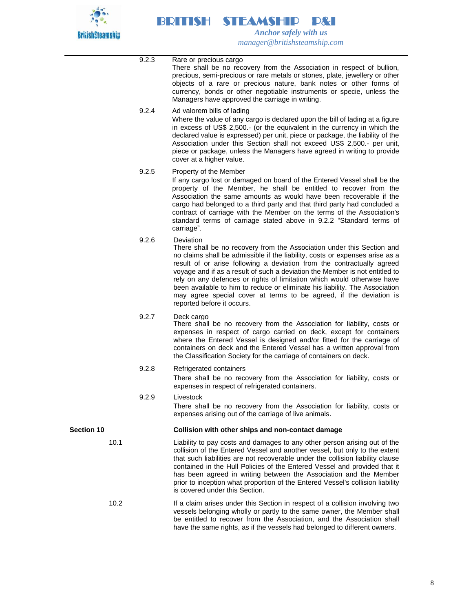

 $\overline{\phantom{0}}$ 

|                   | 9.2.3 | Rare or precious cargo<br>There shall be no recovery from the Association in respect of bullion,<br>precious, semi-precious or rare metals or stones, plate, jewellery or other<br>objects of a rare or precious nature, bank notes or other forms of<br>currency, bonds or other negotiable instruments or specie, unless the<br>Managers have approved the carriage in writing.                                                                                                                                                                                                          |
|-------------------|-------|--------------------------------------------------------------------------------------------------------------------------------------------------------------------------------------------------------------------------------------------------------------------------------------------------------------------------------------------------------------------------------------------------------------------------------------------------------------------------------------------------------------------------------------------------------------------------------------------|
|                   | 9.2.4 | Ad valorem bills of lading<br>Where the value of any cargo is declared upon the bill of lading at a figure<br>in excess of US\$ 2,500.- (or the equivalent in the currency in which the<br>declared value is expressed) per unit, piece or package, the liability of the<br>Association under this Section shall not exceed US\$ 2,500.- per unit,<br>piece or package, unless the Managers have agreed in writing to provide<br>cover at a higher value.                                                                                                                                  |
|                   | 9.2.5 | Property of the Member<br>If any cargo lost or damaged on board of the Entered Vessel shall be the<br>property of the Member, he shall be entitled to recover from the<br>Association the same amounts as would have been recoverable if the<br>cargo had belonged to a third party and that third party had concluded a<br>contract of carriage with the Member on the terms of the Association's<br>standard terms of carriage stated above in 9.2.2 "Standard terms of<br>carriage".                                                                                                    |
|                   | 9.2.6 | Deviation<br>There shall be no recovery from the Association under this Section and<br>no claims shall be admissible if the liability, costs or expenses arise as a<br>result of or arise following a deviation from the contractually agreed<br>voyage and if as a result of such a deviation the Member is not entitled to<br>rely on any defences or rights of limitation which would otherwise have<br>been available to him to reduce or eliminate his liability. The Association<br>may agree special cover at terms to be agreed, if the deviation is<br>reported before it occurs. |
|                   | 9.2.7 | Deck cargo<br>There shall be no recovery from the Association for liability, costs or<br>expenses in respect of cargo carried on deck, except for containers<br>where the Entered Vessel is designed and/or fitted for the carriage of<br>containers on deck and the Entered Vessel has a written approval from<br>the Classification Society for the carriage of containers on deck.                                                                                                                                                                                                      |
|                   | 9.2.8 | Refrigerated containers<br>There shall be no recovery from the Association for liability, costs or<br>expenses in respect of refrigerated containers.                                                                                                                                                                                                                                                                                                                                                                                                                                      |
|                   | 9.2.9 | Livestock<br>There shall be no recovery from the Association for liability, costs or<br>expenses arising out of the carriage of live animals.                                                                                                                                                                                                                                                                                                                                                                                                                                              |
| <b>Section 10</b> |       | Collision with other ships and non-contact damage                                                                                                                                                                                                                                                                                                                                                                                                                                                                                                                                          |
| 10.1              |       | Liability to pay costs and damages to any other person arising out of the<br>collision of the Entered Vessel and another vessel, but only to the extent<br>that such liabilities are not recoverable under the collision liability clause<br>contained in the Hull Policies of the Entered Vessel and provided that it<br>has been agreed in writing between the Association and the Member<br>prior to inception what proportion of the Entered Vessel's collision liability<br>is covered under this Section.                                                                            |
| 10.2              |       | If a claim arises under this Section in respect of a collision involving two<br>vessels belonging wholly or partly to the same owner, the Member shall<br>be entitled to recover from the Association, and the Association shall<br>have the same rights, as if the vessels had belonged to different owners.                                                                                                                                                                                                                                                                              |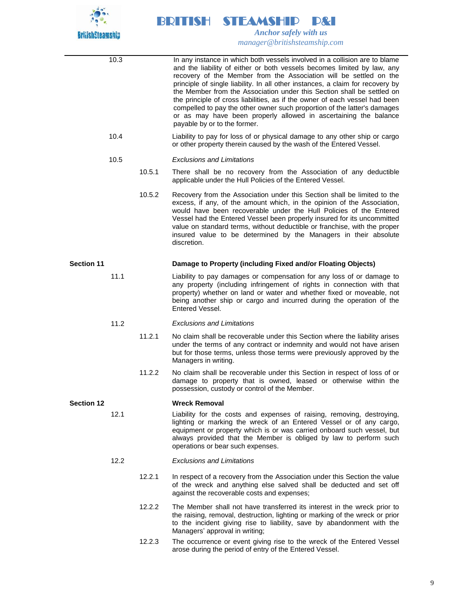

|                   | 10.3 |        | In any instance in which both vessels involved in a collision are to blame<br>and the liability of either or both vessels becomes limited by law, any<br>recovery of the Member from the Association will be settled on the<br>principle of single liability. In all other instances, a claim for recovery by<br>the Member from the Association under this Section shall be settled on<br>the principle of cross liabilities, as if the owner of each vessel had been<br>compelled to pay the other owner such proportion of the latter's damages<br>or as may have been properly allowed in ascertaining the balance<br>payable by or to the former. |
|-------------------|------|--------|--------------------------------------------------------------------------------------------------------------------------------------------------------------------------------------------------------------------------------------------------------------------------------------------------------------------------------------------------------------------------------------------------------------------------------------------------------------------------------------------------------------------------------------------------------------------------------------------------------------------------------------------------------|
|                   | 10.4 |        | Liability to pay for loss of or physical damage to any other ship or cargo<br>or other property therein caused by the wash of the Entered Vessel.                                                                                                                                                                                                                                                                                                                                                                                                                                                                                                      |
|                   | 10.5 |        | <b>Exclusions and Limitations</b>                                                                                                                                                                                                                                                                                                                                                                                                                                                                                                                                                                                                                      |
|                   |      | 10.5.1 | There shall be no recovery from the Association of any deductible<br>applicable under the Hull Policies of the Entered Vessel.                                                                                                                                                                                                                                                                                                                                                                                                                                                                                                                         |
|                   |      | 10.5.2 | Recovery from the Association under this Section shall be limited to the<br>excess, if any, of the amount which, in the opinion of the Association,<br>would have been recoverable under the Hull Policies of the Entered<br>Vessel had the Entered Vessel been properly insured for its uncommitted<br>value on standard terms, without deductible or franchise, with the proper<br>insured value to be determined by the Managers in their absolute<br>discretion.                                                                                                                                                                                   |
| <b>Section 11</b> |      |        | Damage to Property (including Fixed and/or Floating Objects)                                                                                                                                                                                                                                                                                                                                                                                                                                                                                                                                                                                           |
|                   | 11.1 |        | Liability to pay damages or compensation for any loss of or damage to<br>any property (including infringement of rights in connection with that<br>property) whether on land or water and whether fixed or moveable, not<br>being another ship or cargo and incurred during the operation of the<br>Entered Vessel.                                                                                                                                                                                                                                                                                                                                    |
|                   | 11.2 |        | <b>Exclusions and Limitations</b>                                                                                                                                                                                                                                                                                                                                                                                                                                                                                                                                                                                                                      |
|                   |      | 11.2.1 | No claim shall be recoverable under this Section where the liability arises<br>under the terms of any contract or indemnity and would not have arisen<br>but for those terms, unless those terms were previously approved by the<br>Managers in writing.                                                                                                                                                                                                                                                                                                                                                                                               |
|                   |      | 11.2.2 | No claim shall be recoverable under this Section in respect of loss of or<br>damage to property that is owned, leased or otherwise within the<br>possession, custody or control of the Member.                                                                                                                                                                                                                                                                                                                                                                                                                                                         |
| <b>Section 12</b> |      |        | <b>Wreck Removal</b>                                                                                                                                                                                                                                                                                                                                                                                                                                                                                                                                                                                                                                   |
|                   | 12.1 |        | Liability for the costs and expenses of raising, removing, destroying,<br>lighting or marking the wreck of an Entered Vessel or of any cargo,<br>equipment or property which is or was carried onboard such vessel, but<br>always provided that the Member is obliged by law to perform such<br>operations or bear such expenses.                                                                                                                                                                                                                                                                                                                      |
|                   | 12.2 |        | <b>Exclusions and Limitations</b>                                                                                                                                                                                                                                                                                                                                                                                                                                                                                                                                                                                                                      |
|                   |      | 12.2.1 | In respect of a recovery from the Association under this Section the value<br>of the wreck and anything else salved shall be deducted and set off<br>against the recoverable costs and expenses;                                                                                                                                                                                                                                                                                                                                                                                                                                                       |
|                   |      | 12.2.2 | The Member shall not have transferred its interest in the wreck prior to<br>the raising, removal, destruction, lighting or marking of the wreck or prior<br>to the incident giving rise to liability, save by abandonment with the<br>Managers' approval in writing;                                                                                                                                                                                                                                                                                                                                                                                   |
|                   |      | 12.2.3 | The occurrence or event giving rise to the wreck of the Entered Vessel<br>arose during the period of entry of the Entered Vessel.                                                                                                                                                                                                                                                                                                                                                                                                                                                                                                                      |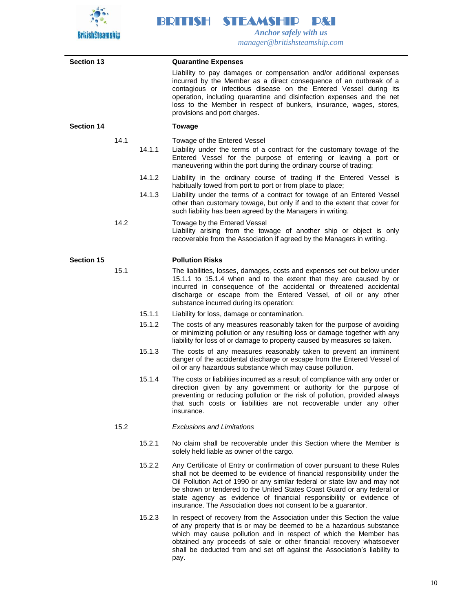

| <b>Section 13</b> |      |        | <b>Quarantine Expenses</b>                                                                                                                                                                                                                                                                                                                                                                                                                             |
|-------------------|------|--------|--------------------------------------------------------------------------------------------------------------------------------------------------------------------------------------------------------------------------------------------------------------------------------------------------------------------------------------------------------------------------------------------------------------------------------------------------------|
|                   |      |        | Liability to pay damages or compensation and/or additional expenses<br>incurred by the Member as a direct consequence of an outbreak of a<br>contagious or infectious disease on the Entered Vessel during its<br>operation, including quarantine and disinfection expenses and the net<br>loss to the Member in respect of bunkers, insurance, wages, stores,<br>provisions and port charges.                                                         |
| <b>Section 14</b> |      |        | <b>Towage</b>                                                                                                                                                                                                                                                                                                                                                                                                                                          |
|                   | 14.1 | 14.1.1 | Towage of the Entered Vessel<br>Liability under the terms of a contract for the customary towage of the<br>Entered Vessel for the purpose of entering or leaving a port or<br>maneuvering within the port during the ordinary course of trading;                                                                                                                                                                                                       |
|                   |      | 14.1.2 | Liability in the ordinary course of trading if the Entered Vessel is                                                                                                                                                                                                                                                                                                                                                                                   |
|                   |      | 14.1.3 | habitually towed from port to port or from place to place;<br>Liability under the terms of a contract for towage of an Entered Vessel<br>other than customary towage, but only if and to the extent that cover for<br>such liability has been agreed by the Managers in writing.                                                                                                                                                                       |
|                   | 14.2 |        | Towage by the Entered Vessel<br>Liability arising from the towage of another ship or object is only<br>recoverable from the Association if agreed by the Managers in writing.                                                                                                                                                                                                                                                                          |
| Section 15        |      |        | <b>Pollution Risks</b>                                                                                                                                                                                                                                                                                                                                                                                                                                 |
|                   | 15.1 |        | The liabilities, losses, damages, costs and expenses set out below under<br>15.1.1 to 15.1.4 when and to the extent that they are caused by or<br>incurred in consequence of the accidental or threatened accidental<br>discharge or escape from the Entered Vessel, of oil or any other<br>substance incurred during its operation:                                                                                                                   |
|                   |      | 15.1.1 | Liability for loss, damage or contamination.                                                                                                                                                                                                                                                                                                                                                                                                           |
|                   |      | 15.1.2 | The costs of any measures reasonably taken for the purpose of avoiding<br>or minimizing pollution or any resulting loss or damage together with any<br>liability for loss of or damage to property caused by measures so taken.                                                                                                                                                                                                                        |
|                   |      | 15.1.3 | The costs of any measures reasonably taken to prevent an imminent<br>danger of the accidental discharge or escape from the Entered Vessel of<br>oil or any hazardous substance which may cause pollution.                                                                                                                                                                                                                                              |
|                   |      | 15.1.4 | The costs or liabilities incurred as a result of compliance with any order or<br>direction given by any government or authority for the purpose of<br>preventing or reducing pollution or the risk of pollution, provided always<br>that such costs or liabilities are not recoverable under any other<br>insurance.                                                                                                                                   |
|                   | 15.2 |        | <b>Exclusions and Limitations</b>                                                                                                                                                                                                                                                                                                                                                                                                                      |
|                   |      | 15.2.1 | No claim shall be recoverable under this Section where the Member is<br>solely held liable as owner of the cargo.                                                                                                                                                                                                                                                                                                                                      |
|                   |      | 15.2.2 | Any Certificate of Entry or confirmation of cover pursuant to these Rules<br>shall not be deemed to be evidence of financial responsibility under the<br>Oil Pollution Act of 1990 or any similar federal or state law and may not<br>be shown or tendered to the United States Coast Guard or any federal or<br>state agency as evidence of financial responsibility or evidence of<br>insurance. The Association does not consent to be a guarantor. |
|                   |      | 15.2.3 | In respect of recovery from the Association under this Section the value<br>of any property that is or may be deemed to be a hazardous substance<br>which may cause pollution and in respect of which the Member has<br>obtained any proceeds of sale or other financial recovery whatsoever<br>shall be deducted from and set off against the Association's liability to<br>pay.                                                                      |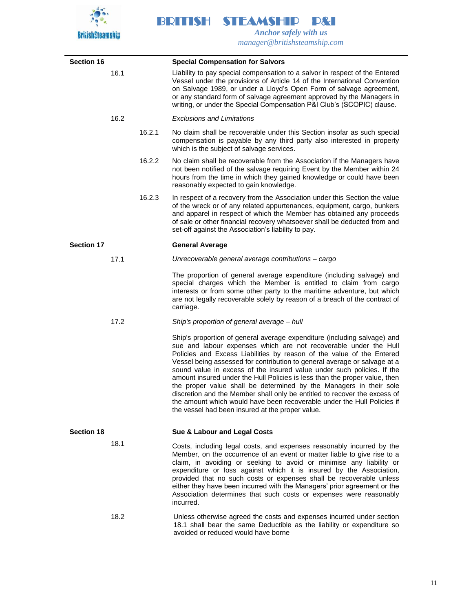

 $\overline{\phantom{a}}$ 

| <b>Section 16</b> |      |        | <b>Special Compensation for Salvors</b>                                                                                                                                                                                                                                                                                                                                                                                                                                                                                                                                                                                                                                                                                                      |
|-------------------|------|--------|----------------------------------------------------------------------------------------------------------------------------------------------------------------------------------------------------------------------------------------------------------------------------------------------------------------------------------------------------------------------------------------------------------------------------------------------------------------------------------------------------------------------------------------------------------------------------------------------------------------------------------------------------------------------------------------------------------------------------------------------|
|                   | 16.1 |        | Liability to pay special compensation to a salvor in respect of the Entered<br>Vessel under the provisions of Article 14 of the International Convention<br>on Salvage 1989, or under a Lloyd's Open Form of salvage agreement,<br>or any standard form of salvage agreement approved by the Managers in<br>writing, or under the Special Compensation P&I Club's (SCOPIC) clause.                                                                                                                                                                                                                                                                                                                                                           |
|                   | 16.2 |        | <b>Exclusions and Limitations</b>                                                                                                                                                                                                                                                                                                                                                                                                                                                                                                                                                                                                                                                                                                            |
|                   |      | 16.2.1 | No claim shall be recoverable under this Section insofar as such special<br>compensation is payable by any third party also interested in property<br>which is the subject of salvage services.                                                                                                                                                                                                                                                                                                                                                                                                                                                                                                                                              |
|                   |      | 16.2.2 | No claim shall be recoverable from the Association if the Managers have<br>not been notified of the salvage requiring Event by the Member within 24<br>hours from the time in which they gained knowledge or could have been<br>reasonably expected to gain knowledge.                                                                                                                                                                                                                                                                                                                                                                                                                                                                       |
|                   |      | 16.2.3 | In respect of a recovery from the Association under this Section the value<br>of the wreck or of any related appurtenances, equipment, cargo, bunkers<br>and apparel in respect of which the Member has obtained any proceeds<br>of sale or other financial recovery whatsoever shall be deducted from and<br>set-off against the Association's liability to pay.                                                                                                                                                                                                                                                                                                                                                                            |
| <b>Section 17</b> |      |        | <b>General Average</b>                                                                                                                                                                                                                                                                                                                                                                                                                                                                                                                                                                                                                                                                                                                       |
|                   | 17.1 |        | Unrecoverable general average contributions - cargo                                                                                                                                                                                                                                                                                                                                                                                                                                                                                                                                                                                                                                                                                          |
|                   |      |        | The proportion of general average expenditure (including salvage) and<br>special charges which the Member is entitled to claim from cargo<br>interests or from some other party to the maritime adventure, but which<br>are not legally recoverable solely by reason of a breach of the contract of<br>carriage.                                                                                                                                                                                                                                                                                                                                                                                                                             |
|                   | 17.2 |        | Ship's proportion of general average - hull                                                                                                                                                                                                                                                                                                                                                                                                                                                                                                                                                                                                                                                                                                  |
|                   |      |        | Ship's proportion of general average expenditure (including salvage) and<br>sue and labour expenses which are not recoverable under the Hull<br>Policies and Excess Liabilities by reason of the value of the Entered<br>Vessel being assessed for contribution to general average or salvage at a<br>sound value in excess of the insured value under such policies. If the<br>amount insured under the Hull Policies is less than the proper value, then<br>the proper value shall be determined by the Managers in their sole<br>discretion and the Member shall only be entitled to recover the excess of<br>the amount which would have been recoverable under the Hull Policies if<br>the vessel had been insured at the proper value. |
| <b>Section 18</b> |      |        | Sue & Labour and Legal Costs                                                                                                                                                                                                                                                                                                                                                                                                                                                                                                                                                                                                                                                                                                                 |
|                   | 18.1 |        | Costs, including legal costs, and expenses reasonably incurred by the<br>Member, on the occurrence of an event or matter liable to give rise to a<br>claim, in avoiding or seeking to avoid or minimise any liability or<br>expenditure or loss against which it is insured by the Association,<br>provided that no such costs or expenses shall be recoverable unless<br>either they have been incurred with the Managers' prior agreement or the<br>Association determines that such costs or expenses were reasonably<br>incurred.                                                                                                                                                                                                        |
|                   | 18.2 |        | Unless otherwise agreed the costs and expenses incurred under section<br>18.1 shall bear the same Deductible as the liability or expenditure so<br>avoided or reduced would have borne                                                                                                                                                                                                                                                                                                                                                                                                                                                                                                                                                       |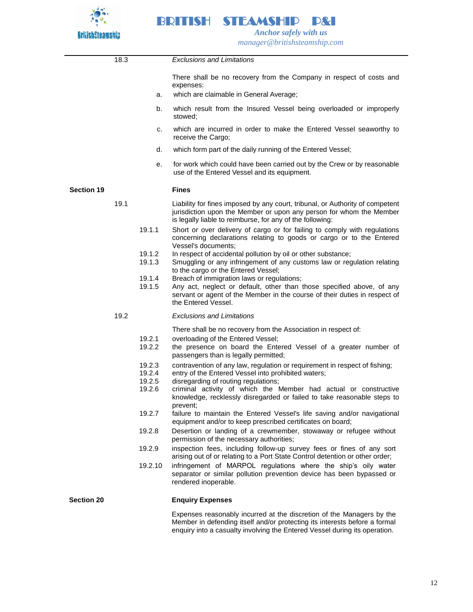

|                   | 18.3 |                  | <b>Exclusions and Limitations</b>                                                                                                                                                                                        |
|-------------------|------|------------------|--------------------------------------------------------------------------------------------------------------------------------------------------------------------------------------------------------------------------|
|                   |      | а.               | There shall be no recovery from the Company in respect of costs and<br>expenses:<br>which are claimable in General Average;                                                                                              |
|                   |      |                  |                                                                                                                                                                                                                          |
|                   |      | b.               | which result from the Insured Vessel being overloaded or improperly<br>stowed:                                                                                                                                           |
|                   |      | c.               | which are incurred in order to make the Entered Vessel seaworthy to<br>receive the Cargo;                                                                                                                                |
|                   |      | d.               | which form part of the daily running of the Entered Vessel;                                                                                                                                                              |
|                   |      | е.               | for work which could have been carried out by the Crew or by reasonable<br>use of the Entered Vessel and its equipment.                                                                                                  |
| <b>Section 19</b> |      |                  | <b>Fines</b>                                                                                                                                                                                                             |
|                   | 19.1 |                  | Liability for fines imposed by any court, tribunal, or Authority of competent<br>jurisdiction upon the Member or upon any person for whom the Member<br>is legally liable to reimburse, for any of the following:        |
|                   |      | 19.1.1           | Short or over delivery of cargo or for failing to comply with regulations<br>concerning declarations relating to goods or cargo or to the Entered<br>Vessel's documents:                                                 |
|                   |      | 19.1.2<br>19.1.3 | In respect of accidental pollution by oil or other substance;<br>Smuggling or any infringement of any customs law or regulation relating<br>to the cargo or the Entered Vessel;                                          |
|                   |      | 19.1.4<br>19.1.5 | Breach of immigration laws or regulations;<br>Any act, neglect or default, other than those specified above, of any<br>servant or agent of the Member in the course of their duties in respect of<br>the Entered Vessel. |
|                   | 19.2 |                  | <b>Exclusions and Limitations</b>                                                                                                                                                                                        |
|                   |      |                  | There shall be no recovery from the Association in respect of:                                                                                                                                                           |
|                   |      | 19.2.1<br>19.2.2 | overloading of the Entered Vessel;<br>the presence on board the Entered Vessel of a greater number of<br>passengers than is legally permitted;                                                                           |
|                   |      | 19.2.3<br>19.2.4 | contravention of any law, regulation or requirement in respect of fishing;<br>entry of the Entered Vessel into prohibited waters;                                                                                        |
|                   |      | 19.2.5<br>19.2.6 | disregarding of routing regulations;<br>criminal activity of which the Member had actual or constructive<br>knowledge, recklessly disregarded or failed to take reasonable steps to<br>prevent;                          |
|                   |      | 19.2.7           | failure to maintain the Entered Vessel's life saving and/or navigational<br>equipment and/or to keep prescribed certificates on board;                                                                                   |
|                   |      | 19.2.8           | Desertion or landing of a crewmember, stowaway or refugee without<br>permission of the necessary authorities;                                                                                                            |
|                   |      | 19.2.9           | inspection fees, including follow-up survey fees or fines of any sort<br>arising out of or relating to a Port State Control detention or other order;                                                                    |
|                   |      | 19.2.10          | infringement of MARPOL regulations where the ship's oily water<br>separator or similar pollution prevention device has been bypassed or<br>rendered inoperable.                                                          |
| <b>Section 20</b> |      |                  | <b>Enquiry Expenses</b>                                                                                                                                                                                                  |
|                   |      |                  | Expenses reasonably incurred at the discretion of the Managers by the<br>Member in defending itself and/or protecting its interests before a formal                                                                      |

enquiry into a casualty involving the Entered Vessel during its operation.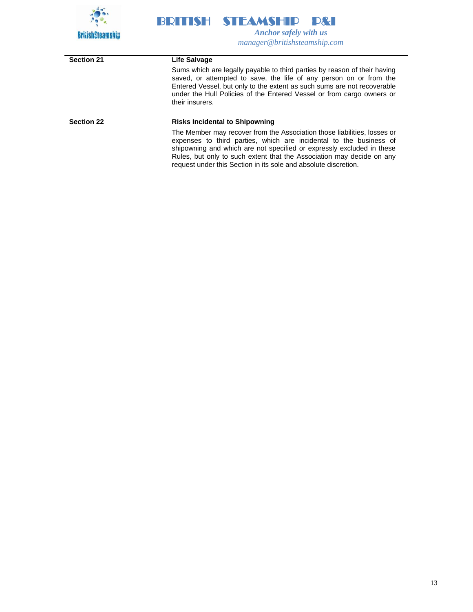

| <b>Section 21</b> | Life Salvage                                                                                                                                                                                                                                                                                                                                                        |
|-------------------|---------------------------------------------------------------------------------------------------------------------------------------------------------------------------------------------------------------------------------------------------------------------------------------------------------------------------------------------------------------------|
|                   | Sums which are legally payable to third parties by reason of their having<br>saved, or attempted to save, the life of any person on or from the<br>Entered Vessel, but only to the extent as such sums are not recoverable<br>under the Hull Policies of the Entered Vessel or from cargo owners or<br>their insurers.                                              |
| <b>Section 22</b> | <b>Risks Incidental to Shipowning</b>                                                                                                                                                                                                                                                                                                                               |
|                   | The Member may recover from the Association those liabilities, losses or<br>expenses to third parties, which are incidental to the business of<br>shipowning and which are not specified or expressly excluded in these<br>Rules, but only to such extent that the Association may decide on any<br>request under this Section in its sole and absolute discretion. |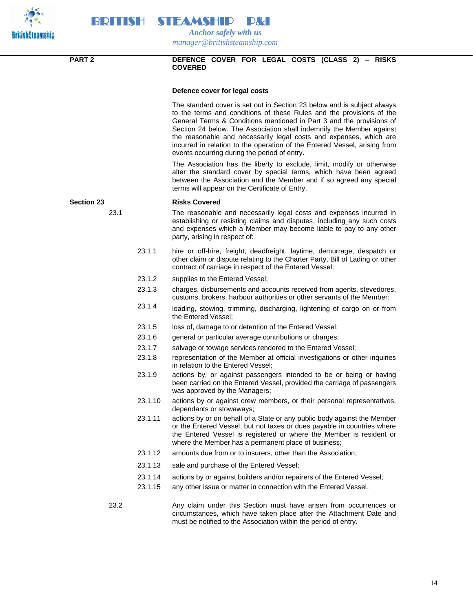



 *Anchor safely with us manager@britishsteamship.com* 

### **PART 2 DEFENCE COVER FOR LEGAL COSTS (CLASS 2) – RISKS COVERED**

### **Defence cover for legal costs**

The standard cover is set out in Section 23 below and is subject always to the terms and conditions of these Rules and the provisions of the General Terms & Conditions mentioned in Part 3 and the provisions of Section 24 below. The Association shall indemnify the Member against the reasonable and necessarily legal costs and expenses, which are incurred in relation to the operation of the Entered Vessel, arising from events occurring during the period of entry.

The Association has the liberty to exclude, limit, modify or otherwise alter the standard cover by special terms, which have been agreed between the Association and the Member and if so agreed any special terms will appear on the Certificate of Entry.

#### **Section 23 Risks Covered**

- 23.1 The reasonable and necessarily legal costs and expenses incurred in establishing or resisting claims and disputes, including any such costs and expenses which a Member may become liable to pay to any other party, arising in respect of:
	- 23.1.1 hire or off-hire, freight, deadfreight, laytime, demurrage, despatch or other claim or dispute relating to the Charter Party, Bill of Lading or other contract of carriage in respect of the Entered Vessel;
	- 23.1.2 supplies to the Entered Vessel;
	- 23.1.3 charges, disbursements and accounts received from agents, stevedores, customs, brokers, harbour authorities or other servants of the Member;
	- 23.1.4 loading, stowing, trimming, discharging, lightening of cargo on or from the Entered Vessel;
	- 23.1.5 loss of, damage to or detention of the Entered Vessel;
	- 23.1.6 general or particular average contributions or charges;
	- 23.1.7 salvage or towage services rendered to the Entered Vessel;
	- 23.1.8 representation of the Member at official investigations or other inquiries in relation to the Entered Vessel;
	- 23.1.9 actions by, or against passengers intended to be or being or having been carried on the Entered Vessel, provided the carriage of passengers was approved by the Managers;
	- 23.1.10 actions by or against crew members, or their personal representatives, dependants or stowaways;
	- 23.1.11 actions by or on behalf of a State or any public body against the Member or the Entered Vessel, but not taxes or dues payable in countries where the Entered Vessel is registered or where the Member is resident or where the Member has a permanent place of business;
	- 23.1.12 amounts due from or to insurers, other than the Association;
	- 23.1.13 sale and purchase of the Entered Vessel;
	- 23.1.14 actions by or against builders and/or repairers of the Entered Vessel;
	- 23.1.15 any other issue or matter in connection with the Entered Vessel.
- 23.2 Any claim under this Section must have arisen from occurrences or circumstances, which have taken place after the Attachment Date and must be notified to the Association within the period of entry.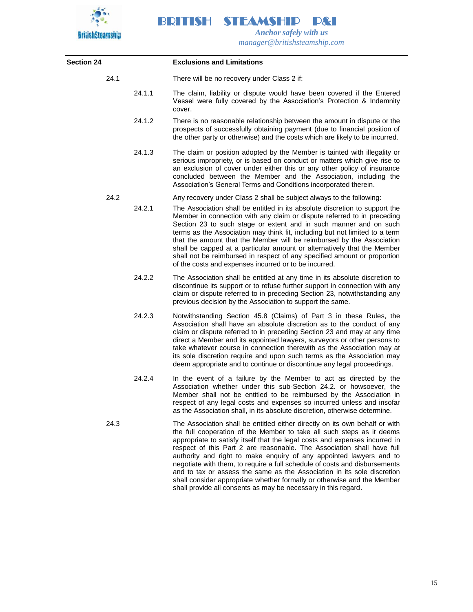

BRITISH STEAMSHIP P&I  *Anchor safely with us*

*manager@britishsteamship.com* 

| <b>Section 24</b> |      |        | <b>Exclusions and Limitations</b>                                                                                                                                                                                                                                                                                                                                                                                                                                                                                                                                                                                                                                                          |
|-------------------|------|--------|--------------------------------------------------------------------------------------------------------------------------------------------------------------------------------------------------------------------------------------------------------------------------------------------------------------------------------------------------------------------------------------------------------------------------------------------------------------------------------------------------------------------------------------------------------------------------------------------------------------------------------------------------------------------------------------------|
|                   | 24.1 |        | There will be no recovery under Class 2 if:                                                                                                                                                                                                                                                                                                                                                                                                                                                                                                                                                                                                                                                |
|                   |      | 24.1.1 | The claim, liability or dispute would have been covered if the Entered<br>Vessel were fully covered by the Association's Protection & Indemnity<br>cover.                                                                                                                                                                                                                                                                                                                                                                                                                                                                                                                                  |
|                   |      | 24.1.2 | There is no reasonable relationship between the amount in dispute or the<br>prospects of successfully obtaining payment (due to financial position of<br>the other party or otherwise) and the costs which are likely to be incurred.                                                                                                                                                                                                                                                                                                                                                                                                                                                      |
|                   |      | 24.1.3 | The claim or position adopted by the Member is tainted with illegality or<br>serious impropriety, or is based on conduct or matters which give rise to<br>an exclusion of cover under either this or any other policy of insurance<br>concluded between the Member and the Association, including the<br>Association's General Terms and Conditions incorporated therein.                                                                                                                                                                                                                                                                                                                  |
|                   | 24.2 |        | Any recovery under Class 2 shall be subject always to the following:                                                                                                                                                                                                                                                                                                                                                                                                                                                                                                                                                                                                                       |
|                   |      | 24.2.1 | The Association shall be entitled in its absolute discretion to support the<br>Member in connection with any claim or dispute referred to in preceding<br>Section 23 to such stage or extent and in such manner and on such<br>terms as the Association may think fit, including but not limited to a term<br>that the amount that the Member will be reimbursed by the Association<br>shall be capped at a particular amount or alternatively that the Member<br>shall not be reimbursed in respect of any specified amount or proportion<br>of the costs and expenses incurred or to be incurred.                                                                                        |
|                   |      | 24.2.2 | The Association shall be entitled at any time in its absolute discretion to<br>discontinue its support or to refuse further support in connection with any<br>claim or dispute referred to in preceding Section 23, notwithstanding any<br>previous decision by the Association to support the same.                                                                                                                                                                                                                                                                                                                                                                                       |
|                   |      | 24.2.3 | Notwithstanding Section 45.8 (Claims) of Part 3 in these Rules, the<br>Association shall have an absolute discretion as to the conduct of any<br>claim or dispute referred to in preceding Section 23 and may at any time<br>direct a Member and its appointed lawyers, surveyors or other persons to<br>take whatever course in connection therewith as the Association may at<br>its sole discretion require and upon such terms as the Association may<br>deem appropriate and to continue or discontinue any legal proceedings.                                                                                                                                                        |
|                   |      | 24.2.4 | In the event of a failure by the Member to act as directed by the<br>Association whether under this sub-Section 24.2. or howsoever, the<br>Member shall not be entitled to be reimbursed by the Association in<br>respect of any legal costs and expenses so incurred unless and insofar<br>as the Association shall, in its absolute discretion, otherwise determine.                                                                                                                                                                                                                                                                                                                     |
|                   | 24.3 |        | The Association shall be entitled either directly on its own behalf or with<br>the full cooperation of the Member to take all such steps as it deems<br>appropriate to satisfy itself that the legal costs and expenses incurred in<br>respect of this Part 2 are reasonable. The Association shall have full<br>authority and right to make enquiry of any appointed lawyers and to<br>negotiate with them, to require a full schedule of costs and disbursements<br>and to tax or assess the same as the Association in its sole discretion<br>shall consider appropriate whether formally or otherwise and the Member<br>shall provide all consents as may be necessary in this regard. |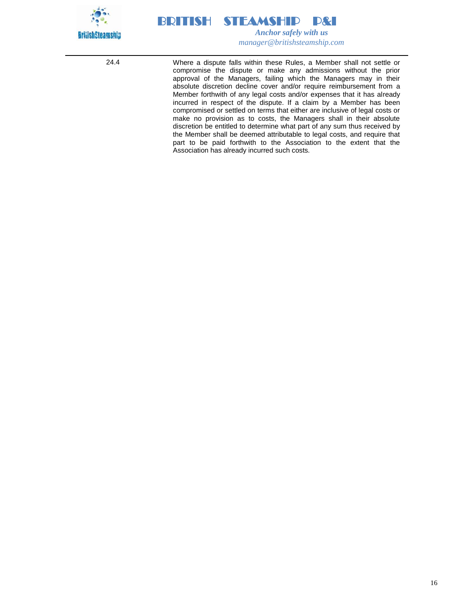

24.4 Where a dispute falls within these Rules, a Member shall not settle or compromise the dispute or make any admissions without the prior approval of the Managers, failing which the Managers may in their absolute discretion decline cover and/or require reimbursement from a Member forthwith of any legal costs and/or expenses that it has already incurred in respect of the dispute. If a claim by a Member has been compromised or settled on terms that either are inclusive of legal costs or make no provision as to costs, the Managers shall in their absolute discretion be entitled to determine what part of any sum thus received by the Member shall be deemed attributable to legal costs, and require that part to be paid forthwith to the Association to the extent that the Association has already incurred such costs.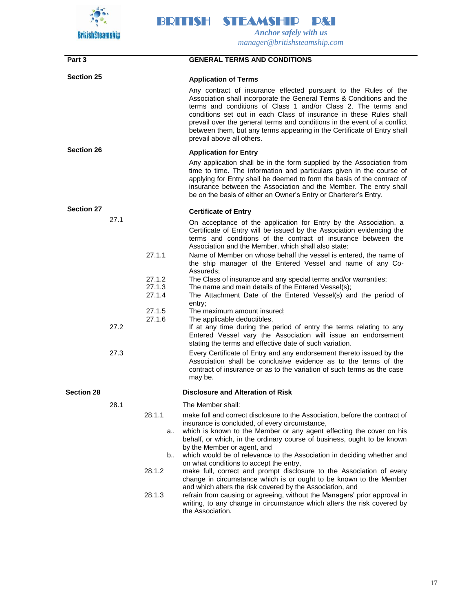

**Part 3 GENERAL TERMS AND CONDITIONS Section 25 Application of Terms** Any contract of insurance effected pursuant to the Rules of the Association shall incorporate the General Terms & Conditions and the terms and conditions of Class 1 and/or Class 2. The terms and conditions set out in each Class of insurance in these Rules shall prevail over the general terms and conditions in the event of a conflict between them, but any terms appearing in the Certificate of Entry shall prevail above all others. **Section 26 Application for Entry** Any application shall be in the form supplied by the Association from time to time. The information and particulars given in the course of applying for Entry shall be deemed to form the basis of the contract of insurance between the Association and the Member. The entry shall be on the basis of either an Owner's Entry or Charterer's Entry. **Section 27 Certificate of Entry** 27.1 On acceptance of the application for Entry by the Association, a Certificate of Entry will be issued by the Association evidencing the terms and conditions of the contract of insurance between the Association and the Member, which shall also state: 27.1.1 Name of Member on whose behalf the vessel is entered, the name of the ship manager of the Entered Vessel and name of any Co-Assureds; 27.1.2 The Class of insurance and any special terms and/or warranties; 27.1.3 The name and main details of the Entered Vessel(s); 27.1.4 The Attachment Date of the Entered Vessel(s) and the period of entry; 27.1.5 The maximum amount insured;<br>27.1.6 The applicable deductibles. The applicable deductibles. 27.2 If at any time during the period of entry the terms relating to any Entered Vessel vary the Association will issue an endorsement stating the terms and effective date of such variation. 27.3 Every Certificate of Entry and any endorsement thereto issued by the Association shall be conclusive evidence as to the terms of the contract of insurance or as to the variation of such terms as the case may be. **Section 28 Disclosure and Alteration of Risk** 28.1 The Member shall: 28.1.1 make full and correct disclosure to the Association, before the contract of insurance is concluded, of every circumstance, a.. which is known to the Member or any agent effecting the cover on his behalf, or which, in the ordinary course of business, ought to be known by the Member or agent, and b.. which would be of relevance to the Association in deciding whether and on what conditions to accept the entry, 28.1.2 make full, correct and prompt disclosure to the Association of every change in circumstance which is or ought to be known to the Member and which alters the risk covered by the Association, and 28.1.3 refrain from causing or agreeing, without the Managers' prior approval in writing, to any change in circumstance which alters the risk covered by the Association.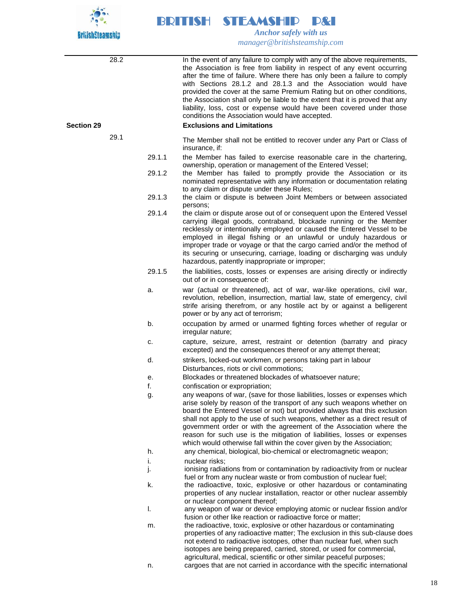

28.2 In the event of any failure to comply with any of the above requirements, the Association is free from liability in respect of any event occurring after the time of failure. Where there has only been a failure to comply with Sections 28.1.2 and 28.1.3 and the Association would have provided the cover at the same Premium Rating but on other conditions, the Association shall only be liable to the extent that it is proved that any liability, loss, cost or expense would have been covered under those conditions the Association would have accepted. **Section 29 Exclusions and Limitations** 29.1 The Member shall not be entitled to recover under any Part or Class of insurance, if: 29.1.1 the Member has failed to exercise reasonable care in the chartering, ownership, operation or management of the Entered Vessel; 29.1.2 the Member has failed to promptly provide the Association or its nominated representative with any information or documentation relating to any claim or dispute under these Rules; 29.1.3 the claim or dispute is between Joint Members or between associated persons; 29.1.4 the claim or dispute arose out of or consequent upon the Entered Vessel carrying illegal goods, contraband, blockade running or the Member recklessly or intentionally employed or caused the Entered Vessel to be employed in illegal fishing or an unlawful or unduly hazardous or improper trade or voyage or that the cargo carried and/or the method of its securing or unsecuring, carriage, loading or discharging was unduly hazardous, patently inappropriate or improper; 29.1.5 the liabilities, costs, losses or expenses are arising directly or indirectly out of or in consequence of: a. war (actual or threatened), act of war, war-like operations, civil war, revolution, rebellion, insurrection, martial law, state of emergency, civil strife arising therefrom, or any hostile act by or against a belligerent power or by any act of terrorism; b. occupation by armed or unarmed fighting forces whether of regular or irregular nature; c. capture, seizure, arrest, restraint or detention (barratry and piracy excepted) and the consequences thereof or any attempt thereat; d. strikers, locked-out workmen, or persons taking part in labour Disturbances, riots or civil commotions; e. Blockades or threatened blockades of whatsoever nature; f. confiscation or expropriation; g. any weapons of war, (save for those liabilities, losses or expenses which arise solely by reason of the transport of any such weapons whether on board the Entered Vessel or not) but provided always that this exclusion shall not apply to the use of such weapons, whether as a direct result of government order or with the agreement of the Association where the reason for such use is the mitigation of liabilities, losses or expenses which would otherwise fall within the cover given by the Association; h. any chemical, biological, bio-chemical or electromagnetic weapon; i. **nuclear risks:** j. ionising radiations from or contamination by radioactivity from or nuclear fuel or from any nuclear waste or from combustion of nuclear fuel; k. the radioactive, toxic, explosive or other hazardous or contaminating properties of any nuclear installation, reactor or other nuclear assembly or nuclear component thereof; l. any weapon of war or device employing atomic or nuclear fission and/or fusion or other like reaction or radioactive force or matter; m. the radioactive, toxic, explosive or other hazardous or contaminating properties of any radioactive matter; The exclusion in this sub-clause does not extend to radioactive isotopes, other than nuclear fuel, when such isotopes are being prepared, carried, stored, or used for commercial, agricultural, medical, scientific or other similar peaceful purposes; n. cargoes that are not carried in accordance with the specific international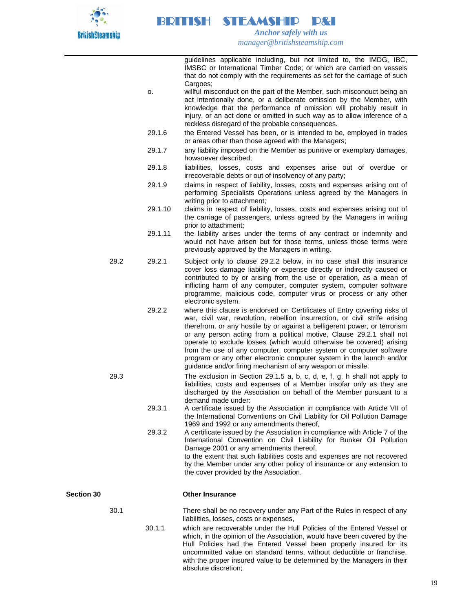

> guidelines applicable including, but not limited to, the IMDG, IBC, IMSBC or International Timber Code; or which are carried on vessels that do not comply with the requirements as set for the carriage of such Cargoes:

- o. willful misconduct on the part of the Member, such misconduct being an act intentionally done, or a deliberate omission by the Member, with knowledge that the performance of omission will probably result in injury, or an act done or omitted in such way as to allow inference of a reckless disregard of the probable consequences.
- 29.1.6 the Entered Vessel has been, or is intended to be, employed in trades or areas other than those agreed with the Managers;
- 29.1.7 any liability imposed on the Member as punitive or exemplary damages, howsoever described;
- 29.1.8 liabilities, losses, costs and expenses arise out of overdue or irrecoverable debts or out of insolvency of any party;
- 29.1.9 claims in respect of liability, losses, costs and expenses arising out of performing Specialists Operations unless agreed by the Managers in writing prior to attachment;
- 29.1.10 claims in respect of liability, losses, costs and expenses arising out of the carriage of passengers, unless agreed by the Managers in writing prior to attachment;
- 29.1.11 the liability arises under the terms of any contract or indemnity and would not have arisen but for those terms, unless those terms were previously approved by the Managers in writing.
- 29.2 29.2.1 Subject only to clause 29.2.2 below, in no case shall this insurance cover loss damage liability or expense directly or indirectly caused or contributed to by or arising from the use or operation, as a mean of inflicting harm of any computer, computer system, computer software programme, malicious code, computer virus or process or any other electronic system.
	- 29.2.2 where this clause is endorsed on Certificates of Entry covering risks of war, civil war, revolution, rebellion insurrection, or civil strife arising therefrom, or any hostile by or against a belligerent power, or terrorism or any person acting from a political motive, Clause 29.2.1 shall not operate to exclude losses (which would otherwise be covered) arising from the use of any computer, computer system or computer software program or any other electronic computer system in the launch and/or guidance and/or firing mechanism of any weapon or missile.
- 29.3 The exclusion in Section 29.1.5 a, b, c, d, e, f, g, h shall not apply to liabilities, costs and expenses of a Member insofar only as they are discharged by the Association on behalf of the Member pursuant to a demand made under:
	- 29.3.1 A certificate issued by the Association in compliance with Article VII of the International Conventions on Civil Liability for Oil Pollution Damage 1969 and 1992 or any amendments thereof,
	- 29.3.2 A certificate issued by the Association in compliance with Article 7 of the International Convention on Civil Liability for Bunker Oil Pollution Damage 2001 or any amendments thereof, to the extent that such liabilities costs and expenses are not recovered by the Member under any other policy of insurance or any extension to the cover provided by the Association.

### **Section 30 Other Insurance**

30.1 There shall be no recovery under any Part of the Rules in respect of any liabilities, losses, costs or expenses,

> 30.1.1 which are recoverable under the Hull Policies of the Entered Vessel or which, in the opinion of the Association, would have been covered by the Hull Policies had the Entered Vessel been properly insured for its uncommitted value on standard terms, without deductible or franchise, with the proper insured value to be determined by the Managers in their absolute discretion;

> > 19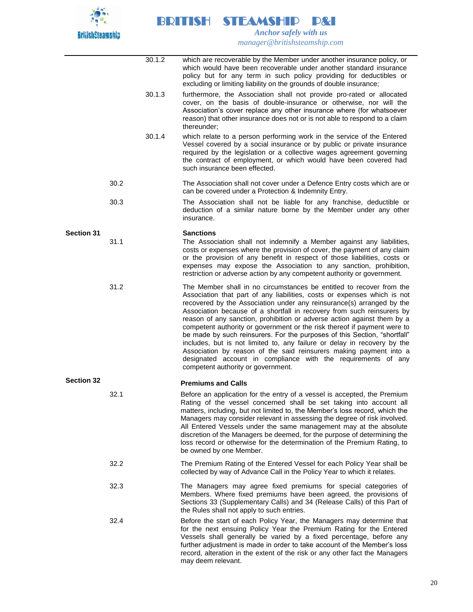

|                   |      | 30.1.2 | which are recoverable by the Member under another insurance policy, or<br>which would have been recoverable under another standard insurance<br>policy but for any term in such policy providing for deductibles or<br>excluding or limiting liability on the grounds of double insurance;                                                                                                                                                                                                                                                                                                                                                                                                                                                                                                       |
|-------------------|------|--------|--------------------------------------------------------------------------------------------------------------------------------------------------------------------------------------------------------------------------------------------------------------------------------------------------------------------------------------------------------------------------------------------------------------------------------------------------------------------------------------------------------------------------------------------------------------------------------------------------------------------------------------------------------------------------------------------------------------------------------------------------------------------------------------------------|
|                   |      | 30.1.3 | furthermore, the Association shall not provide pro-rated or allocated<br>cover, on the basis of double-insurance or otherwise, nor will the<br>Association's cover replace any other insurance where (for whatsoever<br>reason) that other insurance does not or is not able to respond to a claim<br>thereunder;                                                                                                                                                                                                                                                                                                                                                                                                                                                                                |
|                   |      | 30.1.4 | which relate to a person performing work in the service of the Entered<br>Vessel covered by a social insurance or by public or private insurance<br>required by the legislation or a collective wages agreement governing<br>the contract of employment, or which would have been covered had<br>such insurance been effected.                                                                                                                                                                                                                                                                                                                                                                                                                                                                   |
|                   | 30.2 |        | The Association shall not cover under a Defence Entry costs which are or<br>can be covered under a Protection & Indemnity Entry.                                                                                                                                                                                                                                                                                                                                                                                                                                                                                                                                                                                                                                                                 |
|                   | 30.3 |        | The Association shall not be liable for any franchise, deductible or<br>deduction of a similar nature borne by the Member under any other<br>insurance.                                                                                                                                                                                                                                                                                                                                                                                                                                                                                                                                                                                                                                          |
| <b>Section 31</b> | 31.1 |        | <b>Sanctions</b><br>The Association shall not indemnify a Member against any liabilities,<br>costs or expenses where the provision of cover, the payment of any claim<br>or the provision of any benefit in respect of those liabilities, costs or<br>expenses may expose the Association to any sanction, prohibition,<br>restriction or adverse action by any competent authority or government.                                                                                                                                                                                                                                                                                                                                                                                               |
|                   | 31.2 |        | The Member shall in no circumstances be entitled to recover from the<br>Association that part of any liabilities, costs or expenses which is not<br>recovered by the Association under any reinsurance(s) arranged by the<br>Association because of a shortfall in recovery from such reinsurers by<br>reason of any sanction, prohibition or adverse action against them by a<br>competent authority or government or the risk thereof if payment were to<br>be made by such reinsurers. For the purposes of this Section, "shortfall"<br>includes, but is not limited to, any failure or delay in recovery by the<br>Association by reason of the said reinsurers making payment into a<br>designated account in compliance with the requirements of any<br>competent authority or government. |
| <b>Section 32</b> |      |        | <b>Premiums and Calls</b>                                                                                                                                                                                                                                                                                                                                                                                                                                                                                                                                                                                                                                                                                                                                                                        |
|                   | 32.1 |        | Before an application for the entry of a vessel is accepted, the Premium<br>Rating of the vessel concerned shall be set taking into account all<br>matters, including, but not limited to, the Member's loss record, which the<br>Managers may consider relevant in assessing the degree of risk involved.<br>All Entered Vessels under the same management may at the absolute<br>discretion of the Managers be deemed, for the purpose of determining the<br>loss record or otherwise for the determination of the Premium Rating, to<br>be owned by one Member.                                                                                                                                                                                                                               |
|                   | 32.2 |        | The Premium Rating of the Entered Vessel for each Policy Year shall be<br>collected by way of Advance Call in the Policy Year to which it relates.                                                                                                                                                                                                                                                                                                                                                                                                                                                                                                                                                                                                                                               |
|                   | 32.3 |        | The Managers may agree fixed premiums for special categories of<br>Members. Where fixed premiums have been agreed, the provisions of<br>Sections 33 (Supplementary Calls) and 34 (Release Calls) of this Part of<br>the Rules shall not apply to such entries.                                                                                                                                                                                                                                                                                                                                                                                                                                                                                                                                   |
|                   | 32.4 |        | Before the start of each Policy Year, the Managers may determine that<br>for the next ensuing Policy Year the Premium Rating for the Entered<br>Vessels shall generally be varied by a fixed percentage, before any<br>further adjustment is made in order to take account of the Member's loss<br>record, alteration in the extent of the risk or any other fact the Managers<br>may deem relevant.                                                                                                                                                                                                                                                                                                                                                                                             |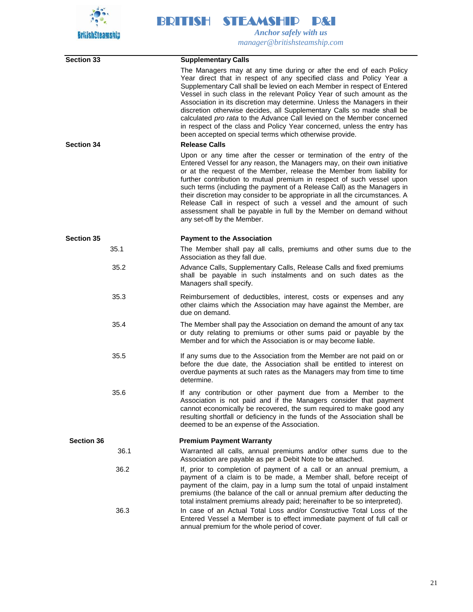

| <b>Section 33</b> | <b>Supplementary Calls</b>                                                                                                                                                                                                                                                                                                                                                                                                                                                                                                                                                                                                                                                                      |
|-------------------|-------------------------------------------------------------------------------------------------------------------------------------------------------------------------------------------------------------------------------------------------------------------------------------------------------------------------------------------------------------------------------------------------------------------------------------------------------------------------------------------------------------------------------------------------------------------------------------------------------------------------------------------------------------------------------------------------|
| <b>Section 34</b> | The Managers may at any time during or after the end of each Policy<br>Year direct that in respect of any specified class and Policy Year a<br>Supplementary Call shall be levied on each Member in respect of Entered<br>Vessel in such class in the relevant Policy Year of such amount as the<br>Association in its discretion may determine. Unless the Managers in their<br>discretion otherwise decides, all Supplementary Calls so made shall be<br>calculated pro rata to the Advance Call levied on the Member concerned<br>in respect of the class and Policy Year concerned, unless the entry has<br>been accepted on special terms which otherwise provide.<br><b>Release Calls</b> |
|                   | Upon or any time after the cesser or termination of the entry of the<br>Entered Vessel for any reason, the Managers may, on their own initiative<br>or at the request of the Member, release the Member from liability for<br>further contribution to mutual premium in respect of such vessel upon<br>such terms (including the payment of a Release Call) as the Managers in<br>their discretion may consider to be appropriate in all the circumstances. A<br>Release Call in respect of such a vessel and the amount of such<br>assessment shall be payable in full by the Member on demand without<br>any set-off by the Member.                                                           |
| <b>Section 35</b> | <b>Payment to the Association</b>                                                                                                                                                                                                                                                                                                                                                                                                                                                                                                                                                                                                                                                               |
| 35.1              | The Member shall pay all calls, premiums and other sums due to the<br>Association as they fall due.                                                                                                                                                                                                                                                                                                                                                                                                                                                                                                                                                                                             |
| 35.2              | Advance Calls, Supplementary Calls, Release Calls and fixed premiums<br>shall be payable in such instalments and on such dates as the<br>Managers shall specify.                                                                                                                                                                                                                                                                                                                                                                                                                                                                                                                                |
| 35.3              | Reimbursement of deductibles, interest, costs or expenses and any<br>other claims which the Association may have against the Member, are<br>due on demand.                                                                                                                                                                                                                                                                                                                                                                                                                                                                                                                                      |
| 35.4              | The Member shall pay the Association on demand the amount of any tax<br>or duty relating to premiums or other sums paid or payable by the<br>Member and for which the Association is or may become liable.                                                                                                                                                                                                                                                                                                                                                                                                                                                                                      |
| 35.5              | If any sums due to the Association from the Member are not paid on or<br>before the due date, the Association shall be entitled to interest on<br>overdue payments at such rates as the Managers may from time to time<br>determine.                                                                                                                                                                                                                                                                                                                                                                                                                                                            |
| 35.6              | If any contribution or other payment due from a Member to the<br>Association is not paid and if the Managers consider that payment<br>cannot economically be recovered, the sum required to make good any<br>resulting shortfall or deficiency in the funds of the Association shall be<br>deemed to be an expense of the Association.                                                                                                                                                                                                                                                                                                                                                          |
| Section 36        | <b>Premium Payment Warranty</b>                                                                                                                                                                                                                                                                                                                                                                                                                                                                                                                                                                                                                                                                 |
| 36.1              | Warranted all calls, annual premiums and/or other sums due to the<br>Association are payable as per a Debit Note to be attached.                                                                                                                                                                                                                                                                                                                                                                                                                                                                                                                                                                |
| 36.2              | If, prior to completion of payment of a call or an annual premium, a<br>payment of a claim is to be made, a Member shall, before receipt of<br>payment of the claim, pay in a lump sum the total of unpaid instalment<br>premiums (the balance of the call or annual premium after deducting the<br>total instalment premiums already paid; hereinafter to be so interpreted).                                                                                                                                                                                                                                                                                                                  |
| 36.3              | In case of an Actual Total Loss and/or Constructive Total Loss of the<br>Entered Vessel a Member is to effect immediate payment of full call or<br>annual premium for the whole period of cover.                                                                                                                                                                                                                                                                                                                                                                                                                                                                                                |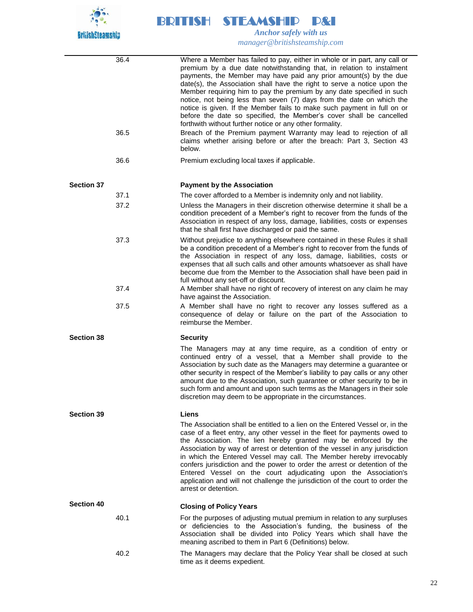

|                   | 36.4 | Where a Member has failed to pay, either in whole or in part, any call or<br>premium by a due date notwithstanding that, in relation to instalment<br>payments, the Member may have paid any prior amount(s) by the due<br>date(s), the Association shall have the right to serve a notice upon the<br>Member requiring him to pay the premium by any date specified in such<br>notice, not being less than seven (7) days from the date on which the<br>notice is given. If the Member fails to make such payment in full on or<br>before the date so specified, the Member's cover shall be cancelled<br>forthwith without further notice or any other formality. |
|-------------------|------|---------------------------------------------------------------------------------------------------------------------------------------------------------------------------------------------------------------------------------------------------------------------------------------------------------------------------------------------------------------------------------------------------------------------------------------------------------------------------------------------------------------------------------------------------------------------------------------------------------------------------------------------------------------------|
|                   | 36.5 | Breach of the Premium payment Warranty may lead to rejection of all<br>claims whether arising before or after the breach: Part 3, Section 43<br>below.                                                                                                                                                                                                                                                                                                                                                                                                                                                                                                              |
|                   | 36.6 | Premium excluding local taxes if applicable.                                                                                                                                                                                                                                                                                                                                                                                                                                                                                                                                                                                                                        |
| <b>Section 37</b> |      | <b>Payment by the Association</b>                                                                                                                                                                                                                                                                                                                                                                                                                                                                                                                                                                                                                                   |
|                   | 37.1 | The cover afforded to a Member is indemnity only and not liability.                                                                                                                                                                                                                                                                                                                                                                                                                                                                                                                                                                                                 |
|                   | 37.2 | Unless the Managers in their discretion otherwise determine it shall be a<br>condition precedent of a Member's right to recover from the funds of the<br>Association in respect of any loss, damage, liabilities, costs or expenses<br>that he shall first have discharged or paid the same.                                                                                                                                                                                                                                                                                                                                                                        |
|                   | 37.3 | Without prejudice to anything elsewhere contained in these Rules it shall<br>be a condition precedent of a Member's right to recover from the funds of<br>the Association in respect of any loss, damage, liabilities, costs or<br>expenses that all such calls and other amounts whatsoever as shall have<br>become due from the Member to the Association shall have been paid in<br>full without any set-off or discount.                                                                                                                                                                                                                                        |
|                   | 37.4 | A Member shall have no right of recovery of interest on any claim he may<br>have against the Association.                                                                                                                                                                                                                                                                                                                                                                                                                                                                                                                                                           |
|                   | 37.5 | A Member shall have no right to recover any losses suffered as a<br>consequence of delay or failure on the part of the Association to<br>reimburse the Member.                                                                                                                                                                                                                                                                                                                                                                                                                                                                                                      |
| <b>Section 38</b> |      | <b>Security</b>                                                                                                                                                                                                                                                                                                                                                                                                                                                                                                                                                                                                                                                     |
|                   |      | The Managers may at any time require, as a condition of entry or<br>continued entry of a vessel, that a Member shall provide to the<br>Association by such date as the Managers may determine a guarantee or<br>other security in respect of the Member's liability to pay calls or any other<br>amount due to the Association, such guarantee or other security to be in<br>such form and amount and upon such terms as the Managers in their sole<br>discretion may deem to be appropriate in the circumstances.                                                                                                                                                  |
| <b>Section 39</b> |      | <b>Liens</b>                                                                                                                                                                                                                                                                                                                                                                                                                                                                                                                                                                                                                                                        |
|                   |      | The Association shall be entitled to a lien on the Entered Vessel or, in the<br>case of a fleet entry, any other vessel in the fleet for payments owed to<br>the Association. The lien hereby granted may be enforced by the<br>Association by way of arrest or detention of the vessel in any jurisdiction<br>in which the Entered Vessel may call. The Member hereby irrevocably<br>confers jurisdiction and the power to order the arrest or detention of the<br>Entered Vessel on the court adjudicating upon the Association's<br>application and will not challenge the jurisdiction of the court to order the<br>arrest or detention.                        |
| <b>Section 40</b> |      | <b>Closing of Policy Years</b>                                                                                                                                                                                                                                                                                                                                                                                                                                                                                                                                                                                                                                      |
|                   | 40.1 | For the purposes of adjusting mutual premium in relation to any surpluses<br>or deficiencies to the Association's funding, the business of the<br>Association shall be divided into Policy Years which shall have the<br>meaning ascribed to them in Part 6 (Definitions) below.                                                                                                                                                                                                                                                                                                                                                                                    |
|                   | 40.2 | The Managers may declare that the Policy Year shall be closed at such<br>time as it deems expedient.                                                                                                                                                                                                                                                                                                                                                                                                                                                                                                                                                                |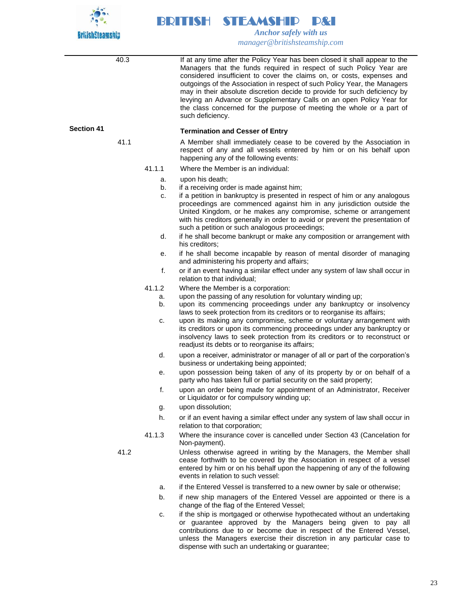

40.3 If at any time after the Policy Year has been closed it shall appear to the Managers that the funds required in respect of such Policy Year are considered insufficient to cover the claims on, or costs, expenses and outgoings of the Association in respect of such Policy Year, the Managers may in their absolute discretion decide to provide for such deficiency by levying an Advance or Supplementary Calls on an open Policy Year for the class concerned for the purpose of meeting the whole or a part of such deficiency. **Section 41 Termination and Cesser of Entry**  41.1 A Member shall immediately cease to be covered by the Association in respect of any and all vessels entered by him or on his behalf upon happening any of the following events: 41.1.1 Where the Member is an individual: a. upon his death; b. if a receiving order is made against him; c. if a petition in bankruptcy is presented in respect of him or any analogous proceedings are commenced against him in any jurisdiction outside the United Kingdom, or he makes any compromise, scheme or arrangement with his creditors generally in order to avoid or prevent the presentation of such a petition or such analogous proceedings; d. if he shall become bankrupt or make any composition or arrangement with his creditors; e. if he shall become incapable by reason of mental disorder of managing and administering his property and affairs; f. or if an event having a similar effect under any system of law shall occur in relation to that individual; 41.1.2 Where the Member is a corporation: a. upon the passing of any resolution for voluntary winding up; b. upon its commencing proceedings under any bankruptcy or insolvency laws to seek protection from its creditors or to reorganise its affairs; c. upon its making any compromise, scheme or voluntary arrangement with its creditors or upon its commencing proceedings under any bankruptcy or insolvency laws to seek protection from its creditors or to reconstruct or readjust its debts or to reorganise its affairs; d. upon a receiver, administrator or manager of all or part of the corporation's business or undertaking being appointed; e. upon possession being taken of any of its property by or on behalf of a party who has taken full or partial security on the said property; f. upon an order being made for appointment of an Administrator, Receiver or Liquidator or for compulsory winding up; g. upon dissolution; h. or if an event having a similar effect under any system of law shall occur in relation to that corporation; 41.1.3 Where the insurance cover is cancelled under Section 43 (Cancelation for Non-payment). 41.2 Unless otherwise agreed in writing by the Managers, the Member shall cease forthwith to be covered by the Association in respect of a vessel entered by him or on his behalf upon the happening of any of the following events in relation to such vessel: a. if the Entered Vessel is transferred to a new owner by sale or otherwise;

- b. if new ship managers of the Entered Vessel are appointed or there is a change of the flag of the Entered Vessel;
- c. if the ship is mortgaged or otherwise hypothecated without an undertaking or guarantee approved by the Managers being given to pay all contributions due to or become due in respect of the Entered Vessel, unless the Managers exercise their discretion in any particular case to dispense with such an undertaking or guarantee;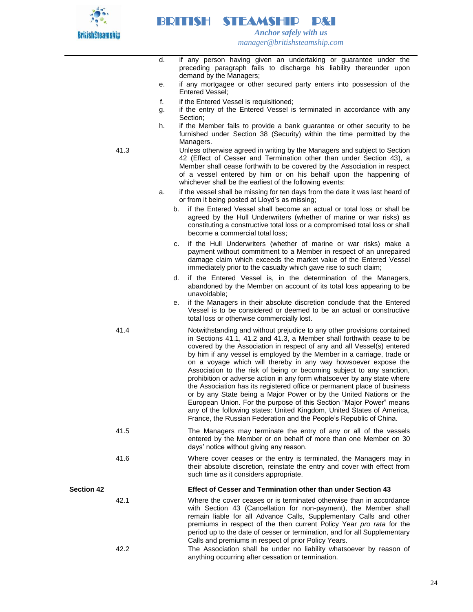

 *Anchor safely with us manager@britishsteamship.com* 

- d. if any person having given an undertaking or guarantee under the preceding paragraph fails to discharge his liability thereunder upon demand by the Managers;
- e. if any mortgagee or other secured party enters into possession of the Entered Vessel;
- f. if the Entered Vessel is requisitioned;

BRITISH STEAMSHIP P&I

- g. if the entry of the Entered Vessel is terminated in accordance with any Section;
- h. if the Member fails to provide a bank guarantee or other security to be furnished under Section 38 (Security) within the time permitted by the Managers.
- 41.3 Unless otherwise agreed in writing by the Managers and subject to Section 42 (Effect of Cesser and Termination other than under Section 43), a Member shall cease forthwith to be covered by the Association in respect of a vessel entered by him or on his behalf upon the happening of whichever shall be the earliest of the following events:
	- a. if the vessel shall be missing for ten days from the date it was last heard of or from it being posted at Lloyd's as missing;
		- b. if the Entered Vessel shall become an actual or total loss or shall be agreed by the Hull Underwriters (whether of marine or war risks) as constituting a constructive total loss or a compromised total loss or shall become a commercial total loss;
		- c. if the Hull Underwriters (whether of marine or war risks) make a payment without commitment to a Member in respect of an unrepaired damage claim which exceeds the market value of the Entered Vessel immediately prior to the casualty which gave rise to such claim;
		- d. if the Entered Vessel is, in the determination of the Managers, abandoned by the Member on account of its total loss appearing to be unavoidable;
		- e. if the Managers in their absolute discretion conclude that the Entered Vessel is to be considered or deemed to be an actual or constructive total loss or otherwise commercially lost.
- 41.4 Notwithstanding and without prejudice to any other provisions contained in Sections 41.1, 41.2 and 41.3, a Member shall forthwith cease to be covered by the Association in respect of any and all Vessel(s) entered by him if any vessel is employed by the Member in a carriage, trade or on a voyage which will thereby in any way howsoever expose the Association to the risk of being or becoming subject to any sanction, prohibition or adverse action in any form whatsoever by any state where the Association has its registered office or permanent place of business or by any State being a Major Power or by the United Nations or the European Union. For the purpose of this Section "Major Power" means any of the following states: United Kingdom, United States of America, France, the Russian Federation and the People's Republic of China.
- 41.5 The Managers may terminate the entry of any or all of the vessels entered by the Member or on behalf of more than one Member on 30 days' notice without giving any reason.
- 41.6 Where cover ceases or the entry is terminated, the Managers may in their absolute discretion, reinstate the entry and cover with effect from such time as it considers appropriate.

## **Section 42 Effect of Cesser and Termination other than under Section 43**

- 42.1 Where the cover ceases or is terminated otherwise than in accordance with Section 43 (Cancellation for non-payment), the Member shall remain liable for all Advance Calls, Supplementary Calls and other premiums in respect of the then current Policy Year *pro rata* for the period up to the date of cesser or termination, and for all Supplementary Calls and premiums in respect of prior Policy Years. 42.2 The Association shall be under no liability whatsoever by reason of
	- anything occurring after cessation or termination.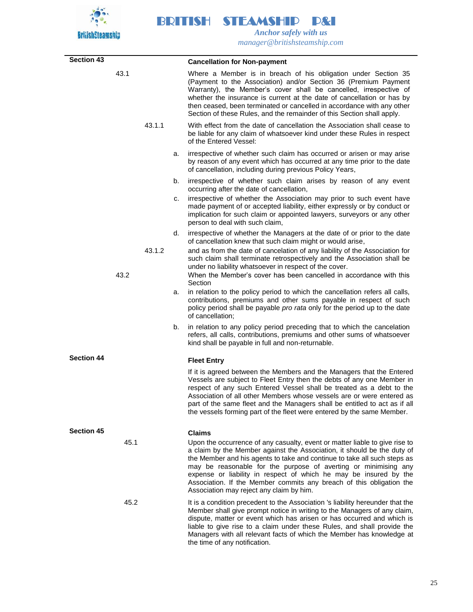

| <b>Section 43</b> |      |        |    | <b>Cancellation for Non-payment</b>                                                                                                                                                                                                                                                                                                                                                                                                                                                            |
|-------------------|------|--------|----|------------------------------------------------------------------------------------------------------------------------------------------------------------------------------------------------------------------------------------------------------------------------------------------------------------------------------------------------------------------------------------------------------------------------------------------------------------------------------------------------|
|                   | 43.1 |        |    | Where a Member is in breach of his obligation under Section 35<br>(Payment to the Association) and/or Section 36 (Premium Payment<br>Warranty), the Member's cover shall be cancelled, irrespective of<br>whether the insurance is current at the date of cancellation or has by<br>then ceased, been terminated or cancelled in accordance with any other<br>Section of these Rules, and the remainder of this Section shall apply.                                                           |
|                   |      | 43.1.1 |    | With effect from the date of cancellation the Association shall cease to<br>be liable for any claim of whatsoever kind under these Rules in respect<br>of the Entered Vessel:                                                                                                                                                                                                                                                                                                                  |
|                   |      |        | a. | irrespective of whether such claim has occurred or arisen or may arise<br>by reason of any event which has occurred at any time prior to the date<br>of cancellation, including during previous Policy Years,                                                                                                                                                                                                                                                                                  |
|                   |      |        | b. | irrespective of whether such claim arises by reason of any event<br>occurring after the date of cancellation,                                                                                                                                                                                                                                                                                                                                                                                  |
|                   |      |        | c. | irrespective of whether the Association may prior to such event have<br>made payment of or accepted liability, either expressly or by conduct or<br>implication for such claim or appointed lawyers, surveyors or any other<br>person to deal with such claim,                                                                                                                                                                                                                                 |
|                   |      | 43.1.2 | d. | irrespective of whether the Managers at the date of or prior to the date<br>of cancellation knew that such claim might or would arise,<br>and as from the date of cancelation of any liability of the Association for<br>such claim shall terminate retrospectively and the Association shall be<br>under no liability whatsoever in respect of the cover.                                                                                                                                     |
|                   | 43.2 |        |    | When the Member's cover has been cancelled in accordance with this<br>Section                                                                                                                                                                                                                                                                                                                                                                                                                  |
|                   |      |        | a. | in relation to the policy period to which the cancellation refers all calls,<br>contributions, premiums and other sums payable in respect of such<br>policy period shall be payable pro rata only for the period up to the date<br>of cancellation;                                                                                                                                                                                                                                            |
|                   |      |        | b. | in relation to any policy period preceding that to which the cancelation<br>refers, all calls, contributions, premiums and other sums of whatsoever<br>kind shall be payable in full and non-returnable.                                                                                                                                                                                                                                                                                       |
| <b>Section 44</b> |      |        |    | <b>Fleet Entry</b>                                                                                                                                                                                                                                                                                                                                                                                                                                                                             |
|                   |      |        |    | If it is agreed between the Members and the Managers that the Entered<br>Vessels are subject to Fleet Entry then the debts of any one Member in<br>respect of any such Entered Vessel shall be treated as a debt to the<br>Association of all other Members whose vessels are or were entered as<br>part of the same fleet and the Managers shall be entitled to act as if all<br>the vessels forming part of the fleet were entered by the same Member.                                       |
| <b>Section 45</b> |      |        |    | <b>Claims</b>                                                                                                                                                                                                                                                                                                                                                                                                                                                                                  |
|                   | 45.1 |        |    | Upon the occurrence of any casualty, event or matter liable to give rise to<br>a claim by the Member against the Association, it should be the duty of<br>the Member and his agents to take and continue to take all such steps as<br>may be reasonable for the purpose of averting or minimising any<br>expense or liability in respect of which he may be insured by the<br>Association. If the Member commits any breach of this obligation the<br>Association may reject any claim by him. |
|                   | 45.2 |        |    | It is a condition precedent to the Association 's liability hereunder that the<br>Member shall give prompt notice in writing to the Managers of any claim,<br>dispute, matter or event which has arisen or has occurred and which is<br>liable to give rise to a claim under these Rules, and shall provide the<br>Managers with all relevant facts of which the Member has knowledge at<br>the time of any notification.                                                                      |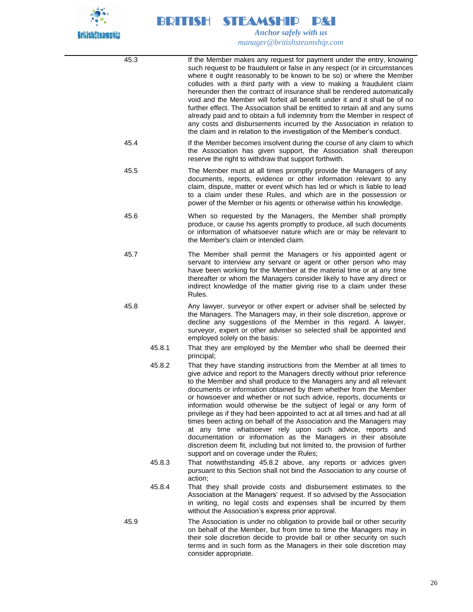

| 45.3   | If the Member makes any request for payment under the entry, knowing<br>such request to be fraudulent or false in any respect (or in circumstances<br>where it ought reasonably to be known to be so) or where the Member<br>colludes with a third party with a view to making a fraudulent claim<br>hereunder then the contract of insurance shall be rendered automatically<br>void and the Member will forfeit all benefit under it and it shall be of no<br>further effect. The Association shall be entitled to retain all and any sums<br>already paid and to obtain a full indemnity from the Member in respect of<br>any costs and disbursements incurred by the Association in relation to<br>the claim and in relation to the investigation of the Member's conduct.                                                                          |
|--------|---------------------------------------------------------------------------------------------------------------------------------------------------------------------------------------------------------------------------------------------------------------------------------------------------------------------------------------------------------------------------------------------------------------------------------------------------------------------------------------------------------------------------------------------------------------------------------------------------------------------------------------------------------------------------------------------------------------------------------------------------------------------------------------------------------------------------------------------------------|
| 45.4   | If the Member becomes insolvent during the course of any claim to which<br>the Association has given support, the Association shall thereupon<br>reserve the right to withdraw that support forthwith.                                                                                                                                                                                                                                                                                                                                                                                                                                                                                                                                                                                                                                                  |
| 45.5   | The Member must at all times promptly provide the Managers of any<br>documents, reports, evidence or other information relevant to any<br>claim, dispute, matter or event which has led or which is liable to lead<br>to a claim under these Rules, and which are in the possession or<br>power of the Member or his agents or otherwise within his knowledge.                                                                                                                                                                                                                                                                                                                                                                                                                                                                                          |
| 45.6   | When so requested by the Managers, the Member shall promptly<br>produce, or cause his agents promptly to produce, all such documents<br>or information of whatsoever nature which are or may be relevant to<br>the Member's claim or intended claim.                                                                                                                                                                                                                                                                                                                                                                                                                                                                                                                                                                                                    |
| 45.7   | The Member shall permit the Managers or his appointed agent or<br>servant to interview any servant or agent or other person who may<br>have been working for the Member at the material time or at any time<br>thereafter or whom the Managers consider likely to have any direct or<br>indirect knowledge of the matter giving rise to a claim under these<br>Rules.                                                                                                                                                                                                                                                                                                                                                                                                                                                                                   |
| 45.8   | Any lawyer, surveyor or other expert or adviser shall be selected by<br>the Managers. The Managers may, in their sole discretion, approve or<br>decline any suggestions of the Member in this regard. A lawyer,<br>surveyor, expert or other adviser so selected shall be appointed and<br>employed solely on the basis:                                                                                                                                                                                                                                                                                                                                                                                                                                                                                                                                |
| 45.8.1 | That they are employed by the Member who shall be deemed their<br>principal;                                                                                                                                                                                                                                                                                                                                                                                                                                                                                                                                                                                                                                                                                                                                                                            |
| 45.8.2 | That they have standing instructions from the Member at all times to<br>give advice and report to the Managers directly without prior reference<br>to the Member and shall produce to the Managers any and all relevant<br>documents or information obtained by them whether from the Member<br>or howsoever and whether or not such advice, reports, documents or<br>information would otherwise be the subject of legal or any form of<br>privilege as if they had been appointed to act at all times and had at all<br>times been acting on behalf of the Association and the Managers may<br>at any time whatsoever rely upon such advice, reports and<br>documentation or information as the Managers in their absolute<br>discretion deem fit, including but not limited to, the provision of further<br>support and on coverage under the Rules; |
| 45.8.3 | That notwithstanding 45.8.2 above, any reports or advices given<br>pursuant to this Section shall not bind the Association to any course of<br>action;                                                                                                                                                                                                                                                                                                                                                                                                                                                                                                                                                                                                                                                                                                  |
| 45.8.4 | That they shall provide costs and disbursement estimates to the<br>Association at the Managers' request. If so advised by the Association<br>in writing, no legal costs and expenses shall be incurred by them<br>without the Association's express prior approval.                                                                                                                                                                                                                                                                                                                                                                                                                                                                                                                                                                                     |
| 45.9   | The Association is under no obligation to provide bail or other security<br>on behalf of the Member, but from time to time the Managers may in<br>their sole discretion decide to provide bail or other security on such<br>terms and in such form as the Managers in their sole discretion may<br>consider appropriate.                                                                                                                                                                                                                                                                                                                                                                                                                                                                                                                                |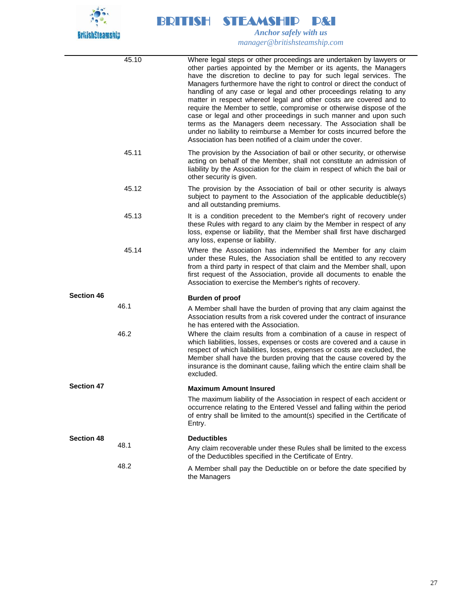

|                   | 45.10 | Where legal steps or other proceedings are undertaken by lawyers or<br>other parties appointed by the Member or its agents, the Managers<br>have the discretion to decline to pay for such legal services. The<br>Managers furthermore have the right to control or direct the conduct of<br>handling of any case or legal and other proceedings relating to any<br>matter in respect whereof legal and other costs are covered and to<br>require the Member to settle, compromise or otherwise dispose of the<br>case or legal and other proceedings in such manner and upon such<br>terms as the Managers deem necessary. The Association shall be<br>under no liability to reimburse a Member for costs incurred before the<br>Association has been notified of a claim under the cover. |
|-------------------|-------|---------------------------------------------------------------------------------------------------------------------------------------------------------------------------------------------------------------------------------------------------------------------------------------------------------------------------------------------------------------------------------------------------------------------------------------------------------------------------------------------------------------------------------------------------------------------------------------------------------------------------------------------------------------------------------------------------------------------------------------------------------------------------------------------|
|                   | 45.11 | The provision by the Association of bail or other security, or otherwise<br>acting on behalf of the Member, shall not constitute an admission of<br>liability by the Association for the claim in respect of which the bail or<br>other security is given.                                                                                                                                                                                                                                                                                                                                                                                                                                                                                                                                  |
|                   | 45.12 | The provision by the Association of bail or other security is always<br>subject to payment to the Association of the applicable deductible(s)<br>and all outstanding premiums.                                                                                                                                                                                                                                                                                                                                                                                                                                                                                                                                                                                                              |
|                   | 45.13 | It is a condition precedent to the Member's right of recovery under<br>these Rules with regard to any claim by the Member in respect of any<br>loss, expense or liability, that the Member shall first have discharged<br>any loss, expense or liability.                                                                                                                                                                                                                                                                                                                                                                                                                                                                                                                                   |
|                   | 45.14 | Where the Association has indemnified the Member for any claim<br>under these Rules, the Association shall be entitled to any recovery<br>from a third party in respect of that claim and the Member shall, upon<br>first request of the Association, provide all documents to enable the<br>Association to exercise the Member's rights of recovery.                                                                                                                                                                                                                                                                                                                                                                                                                                       |
| <b>Section 46</b> |       | <b>Burden of proof</b>                                                                                                                                                                                                                                                                                                                                                                                                                                                                                                                                                                                                                                                                                                                                                                      |
|                   | 46.1  | A Member shall have the burden of proving that any claim against the<br>Association results from a risk covered under the contract of insurance<br>he has entered with the Association.                                                                                                                                                                                                                                                                                                                                                                                                                                                                                                                                                                                                     |
|                   | 46.2  | Where the claim results from a combination of a cause in respect of<br>which liabilities, losses, expenses or costs are covered and a cause in<br>respect of which liabilities, losses, expenses or costs are excluded, the<br>Member shall have the burden proving that the cause covered by the<br>insurance is the dominant cause, failing which the entire claim shall be<br>excluded.                                                                                                                                                                                                                                                                                                                                                                                                  |
| <b>Section 47</b> |       | <b>Maximum Amount Insured</b>                                                                                                                                                                                                                                                                                                                                                                                                                                                                                                                                                                                                                                                                                                                                                               |
|                   |       | The maximum liability of the Association in respect of each accident or<br>occurrence relating to the Entered Vessel and falling within the period<br>of entry shall be limited to the amount(s) specified in the Certificate of<br>Entry.                                                                                                                                                                                                                                                                                                                                                                                                                                                                                                                                                  |
| <b>Section 48</b> |       | <b>Deductibles</b>                                                                                                                                                                                                                                                                                                                                                                                                                                                                                                                                                                                                                                                                                                                                                                          |
|                   | 48.1  | Any claim recoverable under these Rules shall be limited to the excess<br>of the Deductibles specified in the Certificate of Entry.                                                                                                                                                                                                                                                                                                                                                                                                                                                                                                                                                                                                                                                         |
|                   | 48.2  | A Member shall pay the Deductible on or before the date specified by<br>the Managers                                                                                                                                                                                                                                                                                                                                                                                                                                                                                                                                                                                                                                                                                                        |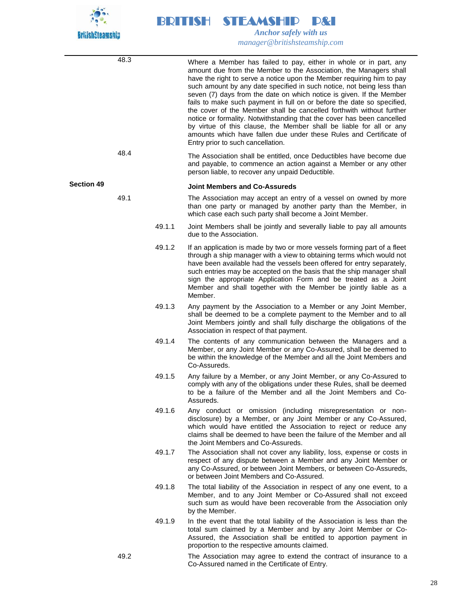

48.3 Where a Member has failed to pay, either in whole or in part, any amount due from the Member to the Association, the Managers shall have the right to serve a notice upon the Member requiring him to pay such amount by any date specified in such notice, not being less than seven (7) days from the date on which notice is given. If the Member fails to make such payment in full on or before the date so specified, the cover of the Member shall be cancelled forthwith without further notice or formality. Notwithstanding that the cover has been cancelled by virtue of this clause, the Member shall be liable for all or any amounts which have fallen due under these Rules and Certificate of Entry prior to such cancellation. 48.4 The Association shall be entitled, once Deductibles have become due and payable, to commence an action against a Member or any other person liable, to recover any unpaid Deductible. **Section 49 Joint Members and Co-Assureds** 49.1 The Association may accept an entry of a vessel on owned by more than one party or managed by another party than the Member, in which case each such party shall become a Joint Member. 49.1.1 Joint Members shall be jointly and severally liable to pay all amounts due to the Association. 49.1.2 If an application is made by two or more vessels forming part of a fleet through a ship manager with a view to obtaining terms which would not have been available had the vessels been offered for entry separately, such entries may be accepted on the basis that the ship manager shall sign the appropriate Application Form and be treated as a Joint Member and shall together with the Member be jointly liable as a Member. 49.1.3 Any payment by the Association to a Member or any Joint Member, shall be deemed to be a complete payment to the Member and to all Joint Members jointly and shall fully discharge the obligations of the Association in respect of that payment. 49.1.4 The contents of any communication between the Managers and a Member, or any Joint Member or any Co-Assured, shall be deemed to be within the knowledge of the Member and all the Joint Members and Co-Assureds. 49.1.5 Any failure by a Member, or any Joint Member, or any Co-Assured to comply with any of the obligations under these Rules, shall be deemed to be a failure of the Member and all the Joint Members and Co-Assureds. 49.1.6 Any conduct or omission (including misrepresentation or nondisclosure) by a Member, or any Joint Member or any Co-Assured, which would have entitled the Association to reject or reduce any claims shall be deemed to have been the failure of the Member and all the Joint Members and Co-Assureds. 49.1.7 The Association shall not cover any liability, loss, expense or costs in respect of any dispute between a Member and any Joint Member or any Co-Assured, or between Joint Members, or between Co-Assureds, or between Joint Members and Co-Assured. 49.1.8 The total liability of the Association in respect of any one event, to a Member, and to any Joint Member or Co-Assured shall not exceed such sum as would have been recoverable from the Association only by the Member. 49.1.9 In the event that the total liability of the Association is less than the total sum claimed by a Member and by any Joint Member or Co-Assured, the Association shall be entitled to apportion payment in proportion to the respective amounts claimed. 49.2 The Association may agree to extend the contract of insurance to a Co-Assured named in the Certificate of Entry.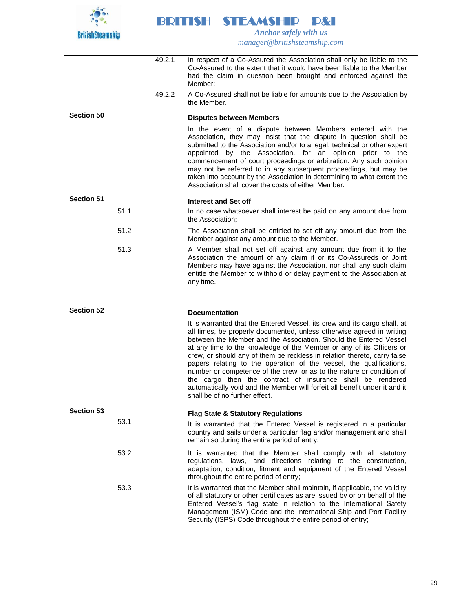

BRITISH STEAMSHIP P&I  *Anchor safely with us*

*manager@britishsteamship.com* 

- 49.2.1 In respect of a Co-Assured the Association shall only be liable to the Co-Assured to the extent that it would have been liable to the Member had the claim in question been brought and enforced against the Member;
- 49.2.2 A Co-Assured shall not be liable for amounts due to the Association by the Member.

## **Section 50 Disputes between Members**

In the event of a dispute between Members entered with the Association, they may insist that the dispute in question shall be submitted to the Association and/or to a legal, technical or other expert appointed by the Association, for an opinion prior to the commencement of court proceedings or arbitration. Any such opinion may not be referred to in any subsequent proceedings, but may be taken into account by the Association in determining to what extent the Association shall cover the costs of either Member.

## **Section 51 Interest and Set off**

### 51.1 In no case whatsoever shall interest be paid on any amount due from the Association;

- 51.2 The Association shall be entitled to set off any amount due from the Member against any amount due to the Member.
- 51.3 A Member shall not set off against any amount due from it to the Association the amount of any claim it or its Co-Assureds or Joint Members may have against the Association, nor shall any such claim entitle the Member to withhold or delay payment to the Association at any time.

## **Section 52 Documentation**

It is warranted that the Entered Vessel, its crew and its cargo shall, at all times, be properly documented, unless otherwise agreed in writing between the Member and the Association. Should the Entered Vessel at any time to the knowledge of the Member or any of its Officers or crew, or should any of them be reckless in relation thereto, carry false papers relating to the operation of the vessel, the qualifications, number or competence of the crew, or as to the nature or condition of the cargo then the contract of insurance shall be rendered automatically void and the Member will forfeit all benefit under it and it shall be of no further effect.

## **Section 53 Flag State & Statutory Regulations** 53.1 **It is warranted that the Entered Vessel is registered in a particular** country and sails under a particular flag and/or management and shall remain so during the entire period of entry; 53.2 It is warranted that the Member shall comply with all statutory regulations, laws, and directions relating to the construction, adaptation, condition, fitment and equipment of the Entered Vessel throughout the entire period of entry; 53.3 It is warranted that the Member shall maintain, if applicable, the validity

of all statutory or other certificates as are issued by or on behalf of the Entered Vessel's flag state in relation to the International Safety Management (ISM) Code and the International Ship and Port Facility Security (ISPS) Code throughout the entire period of entry;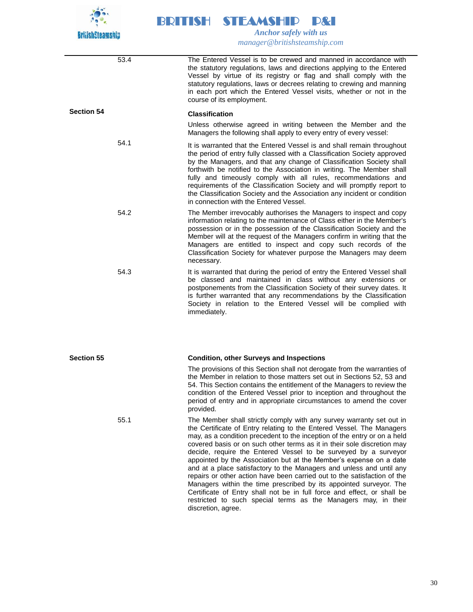

53.4 The Entered Vessel is to be crewed and manned in accordance with the statutory regulations, laws and directions applying to the Entered Vessel by virtue of its registry or flag and shall comply with the statutory regulations, laws or decrees relating to crewing and manning in each port which the Entered Vessel visits, whether or not in the course of its employment. **Section 54 Classification** Unless otherwise agreed in writing between the Member and the Managers the following shall apply to every entry of every vessel: 54.1 **It is warranted that the Entered Vessel is and shall remain throughout** the period of entry fully classed with a Classification Society approved by the Managers, and that any change of Classification Society shall forthwith be notified to the Association in writing. The Member shall fully and timeously comply with all rules, recommendations and requirements of the Classification Society and will promptly report to the Classification Society and the Association any incident or condition in connection with the Entered Vessel. 54.2 The Member irrevocably authorises the Managers to inspect and copy information relating to the maintenance of Class either in the Member's possession or in the possession of the Classification Society and the Member will at the request of the Managers confirm in writing that the Managers are entitled to inspect and copy such records of the Classification Society for whatever purpose the Managers may deem necessary. 54.3 **It is warranted that during the period of entry the Entered Vessel shall** be classed and maintained in class without any extensions or postponements from the Classification Society of their survey dates. It is further warranted that any recommendations by the Classification Society in relation to the Entered Vessel will be complied with immediately. **Section 55 Condition, other Surveys and Inspections** The provisions of this Section shall not derogate from the warranties of the Member in relation to those matters set out in Sections 52, 53 and 54. This Section contains the entitlement of the Managers to review the condition of the Entered Vessel prior to inception and throughout the period of entry and in appropriate circumstances to amend the cover provided. 55.1 The Member shall strictly comply with any survey warranty set out in the Certificate of Entry relating to the Entered Vessel. The Managers may, as a condition precedent to the inception of the entry or on a held covered basis or on such other terms as it in their sole discretion may decide, require the Entered Vessel to be surveyed by a surveyor appointed by the Association but at the Member's expense on a date and at a place satisfactory to the Managers and unless and until any repairs or other action have been carried out to the satisfaction of the Managers within the time prescribed by its appointed surveyor. The Certificate of Entry shall not be in full force and effect, or shall be restricted to such special terms as the Managers may, in their discretion, agree.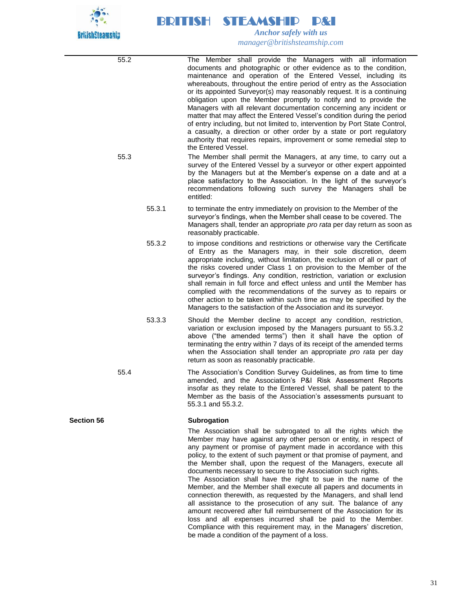

55.2 The Member shall provide the Managers with all information documents and photographic or other evidence as to the condition, maintenance and operation of the Entered Vessel, including its whereabouts, throughout the entire period of entry as the Association or its appointed Surveyor(s) may reasonably request. It is a continuing obligation upon the Member promptly to notify and to provide the Managers with all relevant documentation concerning any incident or matter that may affect the Entered Vessel's condition during the period of entry including, but not limited to, intervention by Port State Control, a casualty, a direction or other order by a state or port regulatory authority that requires repairs, improvement or some remedial step to the Entered Vessel. 55.3 The Member shall permit the Managers, at any time, to carry out a survey of the Entered Vessel by a surveyor or other expert appointed by the Managers but at the Member's expense on a date and at a place satisfactory to the Association. In the light of the surveyor's recommendations following such survey the Managers shall be entitled: 55.3.1 to terminate the entry immediately on provision to the Member of the surveyor's findings, when the Member shall cease to be covered. The Managers shall, tender an appropriate *pro rata* per day return as soon as reasonably practicable. 55.3.2 to impose conditions and restrictions or otherwise vary the Certificate of Entry as the Managers may, in their sole discretion, deem appropriate including, without limitation, the exclusion of all or part of the risks covered under Class 1 on provision to the Member of the surveyor's findings. Any condition, restriction, variation or exclusion shall remain in full force and effect unless and until the Member has complied with the recommendations of the survey as to repairs or other action to be taken within such time as may be specified by the Managers to the satisfaction of the Association and its surveyor. 53.3.3 Should the Member decline to accept any condition, restriction, variation or exclusion imposed by the Managers pursuant to 55.3.2 above ("the amended terms") then it shall have the option of terminating the entry within 7 days of its receipt of the amended terms when the Association shall tender an appropriate *pro rata* per day return as soon as reasonably practicable. 55.4 The Association's Condition Survey Guidelines, as from time to time amended, and the Association's P&I Risk Assessment Reports insofar as they relate to the Entered Vessel, shall be patent to the Member as the basis of the Association's assessments pursuant to 55.3.1 and 55.3.2. **Section 56 Subrogation** The Association shall be subrogated to all the rights which the Member may have against any other person or entity, in respect of any payment or promise of payment made in accordance with this policy, to the extent of such payment or that promise of payment, and the Member shall, upon the request of the Managers, execute all documents necessary to secure to the Association such rights. The Association shall have the right to sue in the name of the Member, and the Member shall execute all papers and documents in connection therewith, as requested by the Managers, and shall lend all assistance to the prosecution of any suit. The balance of any

amount recovered after full reimbursement of the Association for its loss and all expenses incurred shall be paid to the Member. Compliance with this requirement may, in the Managers' discretion, be made a condition of the payment of a loss.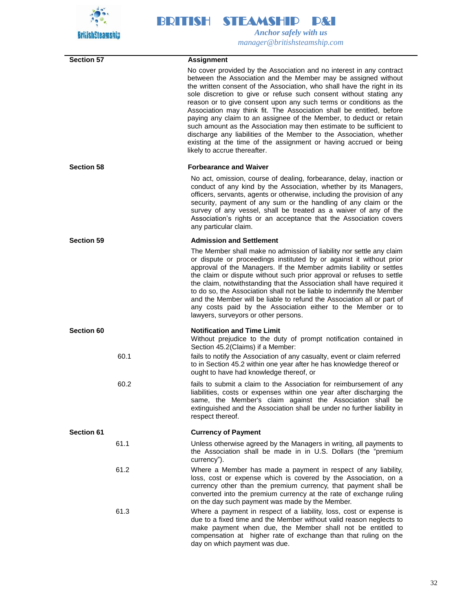

| <b>Section 57</b> | <b>Assignment</b>                                                                                                                                                                                                                                                                                                                                                                                                                                                                                                                                                                                                                                                                                                                                               |
|-------------------|-----------------------------------------------------------------------------------------------------------------------------------------------------------------------------------------------------------------------------------------------------------------------------------------------------------------------------------------------------------------------------------------------------------------------------------------------------------------------------------------------------------------------------------------------------------------------------------------------------------------------------------------------------------------------------------------------------------------------------------------------------------------|
|                   | No cover provided by the Association and no interest in any contract<br>between the Association and the Member may be assigned without<br>the written consent of the Association, who shall have the right in its<br>sole discretion to give or refuse such consent without stating any<br>reason or to give consent upon any such terms or conditions as the<br>Association may think fit. The Association shall be entitled, before<br>paying any claim to an assignee of the Member, to deduct or retain<br>such amount as the Association may then estimate to be sufficient to<br>discharge any liabilities of the Member to the Association, whether<br>existing at the time of the assignment or having accrued or being<br>likely to accrue thereafter. |
| <b>Section 58</b> | <b>Forbearance and Waiver</b>                                                                                                                                                                                                                                                                                                                                                                                                                                                                                                                                                                                                                                                                                                                                   |
|                   | No act, omission, course of dealing, forbearance, delay, inaction or<br>conduct of any kind by the Association, whether by its Managers,<br>officers, servants, agents or otherwise, including the provision of any<br>security, payment of any sum or the handling of any claim or the<br>survey of any vessel, shall be treated as a waiver of any of the<br>Association's rights or an acceptance that the Association covers<br>any particular claim.                                                                                                                                                                                                                                                                                                       |
| <b>Section 59</b> | <b>Admission and Settlement</b>                                                                                                                                                                                                                                                                                                                                                                                                                                                                                                                                                                                                                                                                                                                                 |
|                   | The Member shall make no admission of liability nor settle any claim<br>or dispute or proceedings instituted by or against it without prior<br>approval of the Managers. If the Member admits liability or settles<br>the claim or dispute without such prior approval or refuses to settle<br>the claim, notwithstanding that the Association shall have required it<br>to do so, the Association shall not be liable to indemnify the Member<br>and the Member will be liable to refund the Association all or part of<br>any costs paid by the Association either to the Member or to<br>lawyers, surveyors or other persons.                                                                                                                                |
| Section 60        | <b>Notification and Time Limit</b><br>Without prejudice to the duty of prompt notification contained in<br>Section 45.2(Claims) if a Member:                                                                                                                                                                                                                                                                                                                                                                                                                                                                                                                                                                                                                    |
| 60.1              | fails to notify the Association of any casualty, event or claim referred<br>to in Section 45.2 within one year after he has knowledge thereof or<br>ought to have had knowledge thereof, or                                                                                                                                                                                                                                                                                                                                                                                                                                                                                                                                                                     |
| 60.2              | fails to submit a claim to the Association for reimbursement of any<br>liabilities, costs or expenses within one year after discharging the<br>same, the Member's claim against the Association shall be<br>extinguished and the Association shall be under no further liability in<br>respect thereof.                                                                                                                                                                                                                                                                                                                                                                                                                                                         |
| Section 61        | <b>Currency of Payment</b>                                                                                                                                                                                                                                                                                                                                                                                                                                                                                                                                                                                                                                                                                                                                      |
| 61.1              | Unless otherwise agreed by the Managers in writing, all payments to<br>the Association shall be made in in U.S. Dollars (the "premium<br>currency").                                                                                                                                                                                                                                                                                                                                                                                                                                                                                                                                                                                                            |
| 61.2              | Where a Member has made a payment in respect of any liability,<br>loss, cost or expense which is covered by the Association, on a<br>currency other than the premium currency, that payment shall be<br>converted into the premium currency at the rate of exchange ruling<br>on the day such payment was made by the Member.                                                                                                                                                                                                                                                                                                                                                                                                                                   |
| 61.3              | Where a payment in respect of a liability, loss, cost or expense is<br>due to a fixed time and the Member without valid reason neglects to<br>make payment when due, the Member shall not be entitled to<br>compensation at higher rate of exchange than that ruling on the<br>day on which payment was due.                                                                                                                                                                                                                                                                                                                                                                                                                                                    |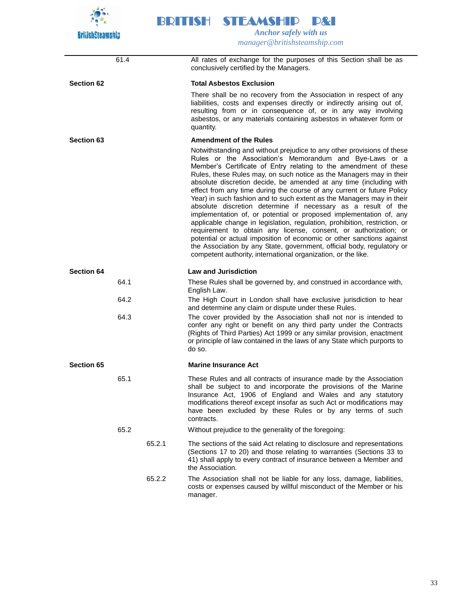

61.4 All rates of exchange for the purposes of this Section shall be as conclusively certified by the Managers. **Section 62 Total Asbestos Exclusion** There shall be no recovery from the Association in respect of any liabilities, costs and expenses directly or indirectly arising out of, resulting from or in consequence of, or in any way involving asbestos, or any materials containing asbestos in whatever form or quantity. **Section 63 Amendment of the Rules** Notwithstanding and without prejudice to any other provisions of these Rules or the Association's Memorandum and Bye-Laws or a Member's Certificate of Entry relating to the amendment of these Rules, these Rules may, on such notice as the Managers may in their absolute discretion decide, be amended at any time (including with effect from any time during the course of any current or future Policy Year) in such fashion and to such extent as the Managers may in their absolute discretion determine if necessary as a result of the implementation of, or potential or proposed implementation of, any applicable change in legislation, regulation, prohibition, restriction, or requirement to obtain any license, consent, or authorization; or potential or actual imposition of economic or other sanctions against the Association by any State, government, official body, regulatory or competent authority, international organization, or the like. **Section 64 Law and Jurisdiction** 64.1 These Rules shall be governed by, and construed in accordance with, English Law. 64.2 The High Court in London shall have exclusive jurisdiction to hear and determine any claim or dispute under these Rules. 64.3 The cover provided by the Association shall not nor is intended to confer any right or benefit on any third party under the Contracts (Rights of Third Parties) Act 1999 or any similar provision, enactment or principle of law contained in the laws of any State which purports to do so. **Section 65 Marine Insurance Act** 65.1 These Rules and all contracts of insurance made by the Association shall be subject to and incorporate the provisions of the Marine Insurance Act, 1906 of England and Wales and any statutory modifications thereof except insofar as such Act or modifications may have been excluded by these Rules or by any terms of such contracts. 65.2 Without prejudice to the generality of the foregoing: 65.2.1 The sections of the said Act relating to disclosure and representations (Sections 17 to 20) and those relating to warranties (Sections 33 to 41) shall apply to every contract of insurance between a Member and the Association. 65.2.2 The Association shall not be liable for any loss, damage, liabilities, costs or expenses caused by willful misconduct of the Member or his manager.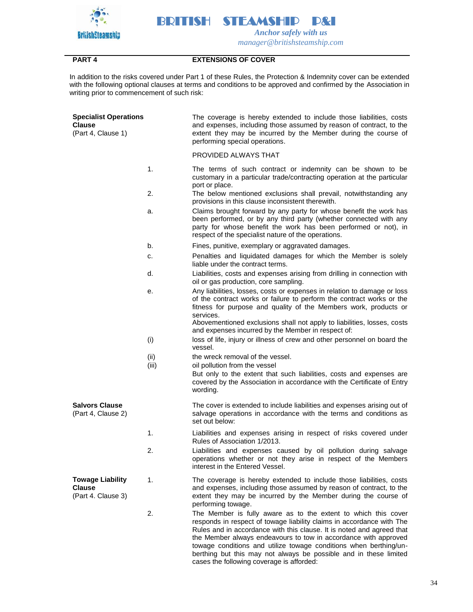

## **PART 4 EXTENSIONS OF COVER**

In addition to the risks covered under Part 1 of these Rules, the Protection & Indemnity cover can be extended with the following optional clauses at terms and conditions to be approved and confirmed by the Association in writing prior to commencement of such risk:

| <b>Specialist Operations</b><br><b>Clause</b><br>(Part 4, Clause 1) |               | The coverage is hereby extended to include those liabilities, costs<br>and expenses, including those assumed by reason of contract, to the<br>extent they may be incurred by the Member during the course of<br>performing special operations.                                                                                                                                                                                                                             |
|---------------------------------------------------------------------|---------------|----------------------------------------------------------------------------------------------------------------------------------------------------------------------------------------------------------------------------------------------------------------------------------------------------------------------------------------------------------------------------------------------------------------------------------------------------------------------------|
|                                                                     |               | PROVIDED ALWAYS THAT                                                                                                                                                                                                                                                                                                                                                                                                                                                       |
|                                                                     | 1.            | The terms of such contract or indemnity can be shown to be<br>customary in a particular trade/contracting operation at the particular<br>port or place.                                                                                                                                                                                                                                                                                                                    |
|                                                                     | 2.            | The below mentioned exclusions shall prevail, notwithstanding any<br>provisions in this clause inconsistent therewith.                                                                                                                                                                                                                                                                                                                                                     |
|                                                                     | a.            | Claims brought forward by any party for whose benefit the work has<br>been performed, or by any third party (whether connected with any<br>party for whose benefit the work has been performed or not), in<br>respect of the specialist nature of the operations.                                                                                                                                                                                                          |
|                                                                     | b.            | Fines, punitive, exemplary or aggravated damages.                                                                                                                                                                                                                                                                                                                                                                                                                          |
|                                                                     | c.            | Penalties and liquidated damages for which the Member is solely<br>liable under the contract terms.                                                                                                                                                                                                                                                                                                                                                                        |
|                                                                     | d.            | Liabilities, costs and expenses arising from drilling in connection with<br>oil or gas production, core sampling.                                                                                                                                                                                                                                                                                                                                                          |
|                                                                     | е.            | Any liabilities, losses, costs or expenses in relation to damage or loss<br>of the contract works or failure to perform the contract works or the<br>fitness for purpose and quality of the Members work, products or<br>services.<br>Abovementioned exclusions shall not apply to liabilities, losses, costs                                                                                                                                                              |
|                                                                     |               | and expenses incurred by the Member in respect of:                                                                                                                                                                                                                                                                                                                                                                                                                         |
|                                                                     | (i)           | loss of life, injury or illness of crew and other personnel on board the<br>vessel.                                                                                                                                                                                                                                                                                                                                                                                        |
|                                                                     | (ii)<br>(iii) | the wreck removal of the vessel.<br>oil pollution from the vessel                                                                                                                                                                                                                                                                                                                                                                                                          |
|                                                                     |               | But only to the extent that such liabilities, costs and expenses are<br>covered by the Association in accordance with the Certificate of Entry<br>wording.                                                                                                                                                                                                                                                                                                                 |
| <b>Salvors Clause</b><br>(Part 4, Clause 2)                         |               | The cover is extended to include liabilities and expenses arising out of<br>salvage operations in accordance with the terms and conditions as<br>set out below:                                                                                                                                                                                                                                                                                                            |
|                                                                     | 1.            | Liabilities and expenses arising in respect of risks covered under<br>Rules of Association 1/2013.                                                                                                                                                                                                                                                                                                                                                                         |
|                                                                     | 2.            | Liabilities and expenses caused by oil pollution during salvage<br>operations whether or not they arise in respect of the Members<br>interest in the Entered Vessel.                                                                                                                                                                                                                                                                                                       |
| <b>Towage Liability</b><br><b>Clause</b><br>(Part 4. Clause 3)      | 1.            | The coverage is hereby extended to include those liabilities, costs<br>and expenses, including those assumed by reason of contract, to the<br>extent they may be incurred by the Member during the course of<br>performing towage.                                                                                                                                                                                                                                         |
|                                                                     | 2.            | The Member is fully aware as to the extent to which this cover<br>responds in respect of towage liability claims in accordance with The<br>Rules and in accordance with this clause. It is noted and agreed that<br>the Member always endeavours to tow in accordance with approved<br>towage conditions and utilize towage conditions when berthing/un-<br>berthing but this may not always be possible and in these limited<br>cases the following coverage is afforded: |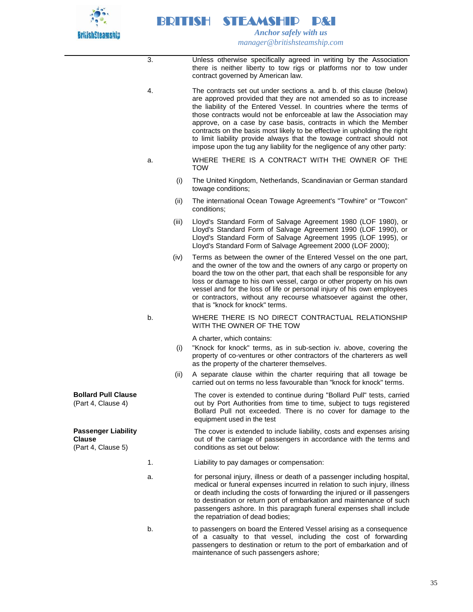

|                                                                   | 3. |       | Unless otherwise specifically agreed in writing by the Association<br>there is neither liberty to tow rigs or platforms nor to tow under<br>contract governed by American law.                                                                                                                                                                                                                                                                                                                                                                                                                 |
|-------------------------------------------------------------------|----|-------|------------------------------------------------------------------------------------------------------------------------------------------------------------------------------------------------------------------------------------------------------------------------------------------------------------------------------------------------------------------------------------------------------------------------------------------------------------------------------------------------------------------------------------------------------------------------------------------------|
|                                                                   | 4. |       | The contracts set out under sections a. and b. of this clause (below)<br>are approved provided that they are not amended so as to increase<br>the liability of the Entered Vessel. In countries where the terms of<br>those contracts would not be enforceable at law the Association may<br>approve, on a case by case basis, contracts in which the Member<br>contracts on the basis most likely to be effective in upholding the right<br>to limit liability provide always that the towage contract should not<br>impose upon the tug any liability for the negligence of any other party: |
|                                                                   | a. |       | WHERE THERE IS A CONTRACT WITH THE OWNER OF THE<br><b>TOW</b>                                                                                                                                                                                                                                                                                                                                                                                                                                                                                                                                  |
|                                                                   |    | (i)   | The United Kingdom, Netherlands, Scandinavian or German standard<br>towage conditions;                                                                                                                                                                                                                                                                                                                                                                                                                                                                                                         |
|                                                                   |    | (ii)  | The international Ocean Towage Agreement's "Towhire" or "Towcon"<br>conditions;                                                                                                                                                                                                                                                                                                                                                                                                                                                                                                                |
|                                                                   |    | (iii) | Lloyd's Standard Form of Salvage Agreement 1980 (LOF 1980), or<br>Lloyd's Standard Form of Salvage Agreement 1990 (LOF 1990), or<br>Lloyd's Standard Form of Salvage Agreement 1995 (LOF 1995), or<br>Lloyd's Standard Form of Salvage Agreement 2000 (LOF 2000);                                                                                                                                                                                                                                                                                                                              |
|                                                                   |    | (iv)  | Terms as between the owner of the Entered Vessel on the one part,<br>and the owner of the tow and the owners of any cargo or property on<br>board the tow on the other part, that each shall be responsible for any<br>loss or damage to his own vessel, cargo or other property on his own<br>vessel and for the loss of life or personal injury of his own employees<br>or contractors, without any recourse whatsoever against the other,<br>that is "knock for knock" terms.                                                                                                               |
|                                                                   | b. |       | WHERE THERE IS NO DIRECT CONTRACTUAL RELATIONSHIP<br>WITH THE OWNER OF THE TOW                                                                                                                                                                                                                                                                                                                                                                                                                                                                                                                 |
|                                                                   |    |       | A charter, which contains:                                                                                                                                                                                                                                                                                                                                                                                                                                                                                                                                                                     |
|                                                                   |    | (i)   | "Knock for knock" terms, as in sub-section iv. above, covering the<br>property of co-ventures or other contractors of the charterers as well<br>as the property of the charterer themselves.                                                                                                                                                                                                                                                                                                                                                                                                   |
|                                                                   |    | (ii)  | A separate clause within the charter requiring that all towage be<br>carried out on terms no less favourable than "knock for knock" terms.                                                                                                                                                                                                                                                                                                                                                                                                                                                     |
| <b>Bollard Pull Clause</b><br>(Part 4, Clause 4)                  |    |       | The cover is extended to continue during "Bollard Pull" tests, carried<br>out by Port Authorities from time to time, subject to tugs registered<br>Bollard Pull not exceeded. There is no cover for damage to the<br>equipment used in the test                                                                                                                                                                                                                                                                                                                                                |
| <b>Passenger Liability</b><br><b>Clause</b><br>(Part 4, Clause 5) |    |       | The cover is extended to include liability, costs and expenses arising<br>out of the carriage of passengers in accordance with the terms and<br>conditions as set out below:                                                                                                                                                                                                                                                                                                                                                                                                                   |
|                                                                   | 1. |       | Liability to pay damages or compensation:                                                                                                                                                                                                                                                                                                                                                                                                                                                                                                                                                      |
|                                                                   | a. |       | for personal injury, illness or death of a passenger including hospital,<br>medical or funeral expenses incurred in relation to such injury, illness<br>or death including the costs of forwarding the injured or ill passengers<br>to destination or return port of embarkation and maintenance of such<br>passengers ashore. In this paragraph funeral expenses shall include<br>the repatriation of dead bodies;                                                                                                                                                                            |
|                                                                   | b. |       | to passengers on board the Entered Vessel arising as a consequence<br>of a casualty to that vessel, including the cost of forwarding<br>passengers to destination or return to the port of embarkation and of<br>maintenance of such passengers ashore;                                                                                                                                                                                                                                                                                                                                        |

35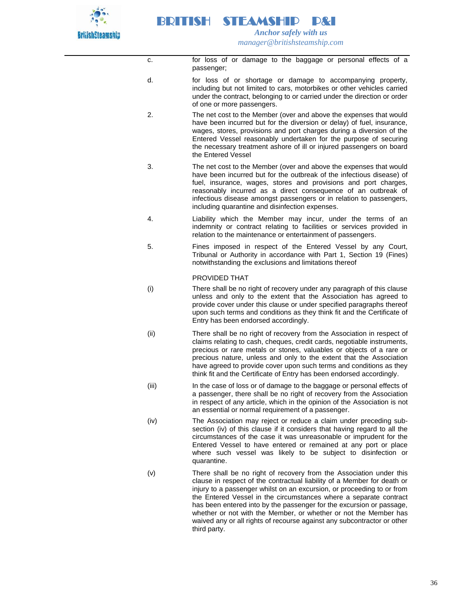

c. for loss of or damage to the baggage or personal effects of a passenger;

- d. for loss of or shortage or damage to accompanying property, including but not limited to cars, motorbikes or other vehicles carried under the contract, belonging to or carried under the direction or order of one or more passengers.
- 2. The net cost to the Member (over and above the expenses that would have been incurred but for the diversion or delay) of fuel, insurance, wages, stores, provisions and port charges during a diversion of the Entered Vessel reasonably undertaken for the purpose of securing the necessary treatment ashore of ill or injured passengers on board the Entered Vessel
- 3. The net cost to the Member (over and above the expenses that would have been incurred but for the outbreak of the infectious disease) of fuel, insurance, wages, stores and provisions and port charges, reasonably incurred as a direct consequence of an outbreak of infectious disease amongst passengers or in relation to passengers, including quarantine and disinfection expenses.
- 4. Liability which the Member may incur, under the terms of an indemnity or contract relating to facilities or services provided in relation to the maintenance or entertainment of passengers.
- 5. Fines imposed in respect of the Entered Vessel by any Court, Tribunal or Authority in accordance with Part 1, Section 19 (Fines) notwithstanding the exclusions and limitations thereof

## PROVIDED THAT

- (i) There shall be no right of recovery under any paragraph of this clause unless and only to the extent that the Association has agreed to provide cover under this clause or under specified paragraphs thereof upon such terms and conditions as they think fit and the Certificate of Entry has been endorsed accordingly.
- (ii) There shall be no right of recovery from the Association in respect of claims relating to cash, cheques, credit cards, negotiable instruments, precious or rare metals or stones, valuables or objects of a rare or precious nature, unless and only to the extent that the Association have agreed to provide cover upon such terms and conditions as they think fit and the Certificate of Entry has been endorsed accordingly.
- (iii) In the case of loss or of damage to the baggage or personal effects of a passenger, there shall be no right of recovery from the Association in respect of any article, which in the opinion of the Association is not an essential or normal requirement of a passenger.
- (iv) The Association may reject or reduce a claim under preceding subsection (iv) of this clause if it considers that having regard to all the circumstances of the case it was unreasonable or imprudent for the Entered Vessel to have entered or remained at any port or place where such vessel was likely to be subject to disinfection or quarantine.
- (v) There shall be no right of recovery from the Association under this clause in respect of the contractual liability of a Member for death or injury to a passenger whilst on an excursion, or proceeding to or from the Entered Vessel in the circumstances where a separate contract has been entered into by the passenger for the excursion or passage, whether or not with the Member, or whether or not the Member has waived any or all rights of recourse against any subcontractor or other third party.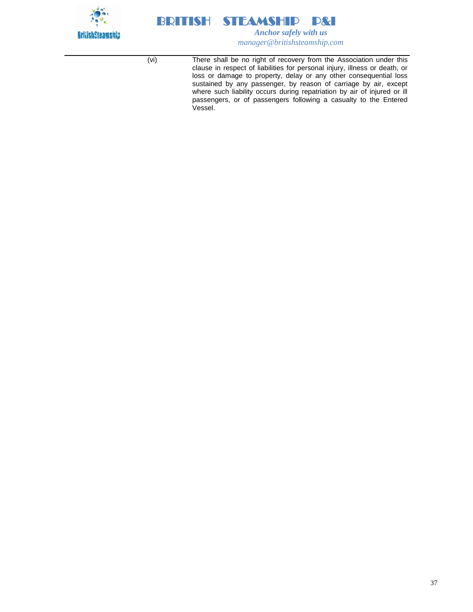



(vi) There shall be no right of recovery from the Association under this clause in respect of liabilities for personal injury, illness or death, or loss or damage to property, delay or any other consequential loss sustained by any passenger, by reason of carriage by air, except where such liability occurs during repatriation by air of injured or ill passengers, or of passengers following a casualty to the Entered Vessel.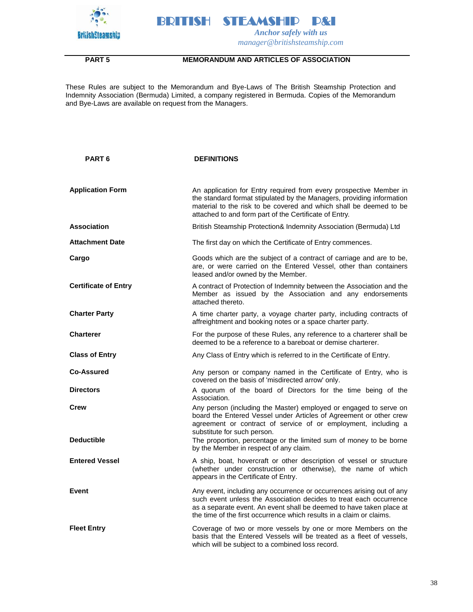



## **PART 5 MEMORANDUM AND ARTICLES OF ASSOCIATION**

These Rules are subject to the Memorandum and Bye-Laws of The British Steamship Protection and Indemnity Association (Bermuda) Limited, a company registered in Bermuda. Copies of the Memorandum and Bye-Laws are available on request from the Managers.

| <b>PART 6</b>               | <b>DEFINITIONS</b>                                                                                                                                                                                                                                                                          |
|-----------------------------|---------------------------------------------------------------------------------------------------------------------------------------------------------------------------------------------------------------------------------------------------------------------------------------------|
| <b>Application Form</b>     | An application for Entry required from every prospective Member in<br>the standard format stipulated by the Managers, providing information<br>material to the risk to be covered and which shall be deemed to be<br>attached to and form part of the Certificate of Entry.                 |
| <b>Association</b>          | British Steamship Protection& Indemnity Association (Bermuda) Ltd                                                                                                                                                                                                                           |
| <b>Attachment Date</b>      | The first day on which the Certificate of Entry commences.                                                                                                                                                                                                                                  |
| Cargo                       | Goods which are the subject of a contract of carriage and are to be,<br>are, or were carried on the Entered Vessel, other than containers<br>leased and/or owned by the Member.                                                                                                             |
| <b>Certificate of Entry</b> | A contract of Protection of Indemnity between the Association and the<br>Member as issued by the Association and any endorsements<br>attached thereto.                                                                                                                                      |
| <b>Charter Party</b>        | A time charter party, a voyage charter party, including contracts of<br>affreightment and booking notes or a space charter party.                                                                                                                                                           |
| <b>Charterer</b>            | For the purpose of these Rules, any reference to a charterer shall be<br>deemed to be a reference to a bareboat or demise charterer.                                                                                                                                                        |
| <b>Class of Entry</b>       | Any Class of Entry which is referred to in the Certificate of Entry.                                                                                                                                                                                                                        |
| <b>Co-Assured</b>           | Any person or company named in the Certificate of Entry, who is<br>covered on the basis of 'misdirected arrow' only.                                                                                                                                                                        |
| <b>Directors</b>            | A quorum of the board of Directors for the time being of the<br>Association.                                                                                                                                                                                                                |
| Crew                        | Any person (including the Master) employed or engaged to serve on<br>board the Entered Vessel under Articles of Agreement or other crew<br>agreement or contract of service of or employment, including a<br>substitute for such person.                                                    |
| <b>Deductible</b>           | The proportion, percentage or the limited sum of money to be borne<br>by the Member in respect of any claim.                                                                                                                                                                                |
| <b>Entered Vessel</b>       | A ship, boat, hovercraft or other description of vessel or structure<br>(whether under construction or otherwise), the name of which<br>appears in the Certificate of Entry.                                                                                                                |
| Event                       | Any event, including any occurrence or occurrences arising out of any<br>such event unless the Association decides to treat each occurrence<br>as a separate event. An event shall be deemed to have taken place at<br>the time of the first occurrence which results in a claim or claims. |
| <b>Fleet Entry</b>          | Coverage of two or more vessels by one or more Members on the<br>basis that the Entered Vessels will be treated as a fleet of vessels,<br>which will be subject to a combined loss record.                                                                                                  |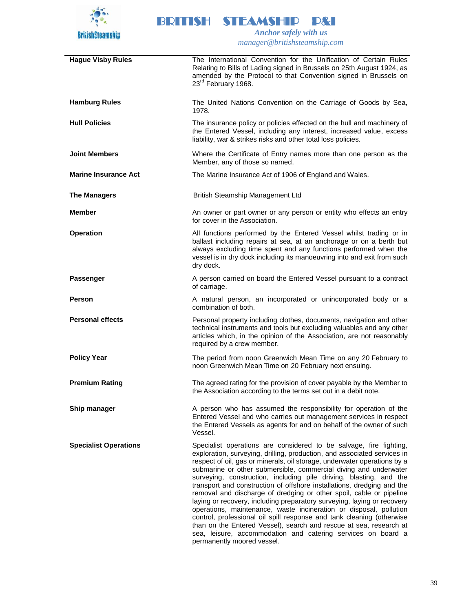

| <b>Hague Visby Rules</b>     | The International Convention for the Unification of Certain Rules<br>Relating to Bills of Lading signed in Brussels on 25th August 1924, as<br>amended by the Protocol to that Convention signed in Brussels on<br>23 <sup>rd</sup> February 1968.                                                                                                                                                                                                                                                                                                                                                                                                                                                                                                                                                                                                                                                                  |
|------------------------------|---------------------------------------------------------------------------------------------------------------------------------------------------------------------------------------------------------------------------------------------------------------------------------------------------------------------------------------------------------------------------------------------------------------------------------------------------------------------------------------------------------------------------------------------------------------------------------------------------------------------------------------------------------------------------------------------------------------------------------------------------------------------------------------------------------------------------------------------------------------------------------------------------------------------|
| <b>Hamburg Rules</b>         | The United Nations Convention on the Carriage of Goods by Sea,<br>1978.                                                                                                                                                                                                                                                                                                                                                                                                                                                                                                                                                                                                                                                                                                                                                                                                                                             |
| <b>Hull Policies</b>         | The insurance policy or policies effected on the hull and machinery of<br>the Entered Vessel, including any interest, increased value, excess<br>liability, war & strikes risks and other total loss policies.                                                                                                                                                                                                                                                                                                                                                                                                                                                                                                                                                                                                                                                                                                      |
| <b>Joint Members</b>         | Where the Certificate of Entry names more than one person as the<br>Member, any of those so named.                                                                                                                                                                                                                                                                                                                                                                                                                                                                                                                                                                                                                                                                                                                                                                                                                  |
| <b>Marine Insurance Act</b>  | The Marine Insurance Act of 1906 of England and Wales.                                                                                                                                                                                                                                                                                                                                                                                                                                                                                                                                                                                                                                                                                                                                                                                                                                                              |
| <b>The Managers</b>          | British Steamship Management Ltd                                                                                                                                                                                                                                                                                                                                                                                                                                                                                                                                                                                                                                                                                                                                                                                                                                                                                    |
| <b>Member</b>                | An owner or part owner or any person or entity who effects an entry<br>for cover in the Association.                                                                                                                                                                                                                                                                                                                                                                                                                                                                                                                                                                                                                                                                                                                                                                                                                |
| <b>Operation</b>             | All functions performed by the Entered Vessel whilst trading or in<br>ballast including repairs at sea, at an anchorage or on a berth but<br>always excluding time spent and any functions performed when the<br>vessel is in dry dock including its manoeuvring into and exit from such<br>dry dock.                                                                                                                                                                                                                                                                                                                                                                                                                                                                                                                                                                                                               |
| <b>Passenger</b>             | A person carried on board the Entered Vessel pursuant to a contract<br>of carriage.                                                                                                                                                                                                                                                                                                                                                                                                                                                                                                                                                                                                                                                                                                                                                                                                                                 |
| Person                       | A natural person, an incorporated or unincorporated body or a<br>combination of both.                                                                                                                                                                                                                                                                                                                                                                                                                                                                                                                                                                                                                                                                                                                                                                                                                               |
| <b>Personal effects</b>      | Personal property including clothes, documents, navigation and other<br>technical instruments and tools but excluding valuables and any other<br>articles which, in the opinion of the Association, are not reasonably<br>required by a crew member.                                                                                                                                                                                                                                                                                                                                                                                                                                                                                                                                                                                                                                                                |
| <b>Policy Year</b>           | The period from noon Greenwich Mean Time on any 20 February to<br>noon Greenwich Mean Time on 20 February next ensuing.                                                                                                                                                                                                                                                                                                                                                                                                                                                                                                                                                                                                                                                                                                                                                                                             |
| <b>Premium Rating</b>        | The agreed rating for the provision of cover payable by the Member to<br>the Association according to the terms set out in a debit note.                                                                                                                                                                                                                                                                                                                                                                                                                                                                                                                                                                                                                                                                                                                                                                            |
| Ship manager                 | A person who has assumed the responsibility for operation of the<br>Entered Vessel and who carries out management services in respect<br>the Entered Vessels as agents for and on behalf of the owner of such<br>Vessel.                                                                                                                                                                                                                                                                                                                                                                                                                                                                                                                                                                                                                                                                                            |
| <b>Specialist Operations</b> | Specialist operations are considered to be salvage, fire fighting,<br>exploration, surveying, drilling, production, and associated services in<br>respect of oil, gas or minerals, oil storage, underwater operations by a<br>submarine or other submersible, commercial diving and underwater<br>surveying, construction, including pile driving, blasting, and the<br>transport and construction of offshore installations, dredging and the<br>removal and discharge of dredging or other spoil, cable or pipeline<br>laying or recovery, including preparatory surveying, laying or recovery<br>operations, maintenance, waste incineration or disposal, pollution<br>control, professional oil spill response and tank cleaning (otherwise<br>than on the Entered Vessel), search and rescue at sea, research at<br>sea, leisure, accommodation and catering services on board a<br>permanently moored vessel. |